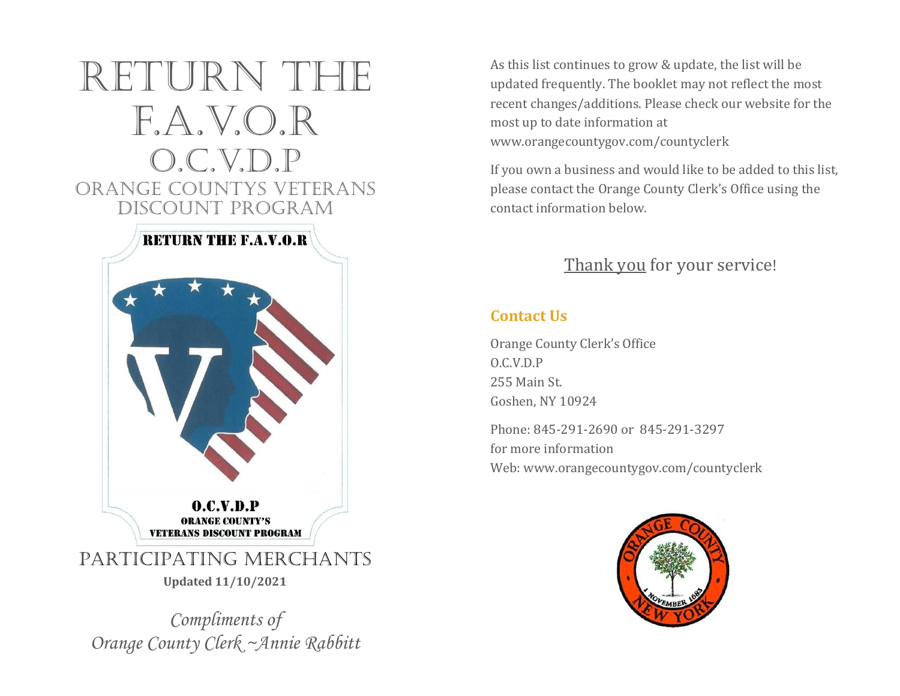

*Compliments of Orange County Clerk ~Annie Rabbitt* As this list continues to grow & update, the list will be updated frequently. The booklet may not reflect the most recent changes/additions. Please check our website for the most up to date information at www.orangecountygov.com/countyclerk

If you own a business and would like to be added to this list, please contact the Orange County Clerk's Office using the contact information below.

## Thank you for your service!

### **Contact Us**

Orange County Clerk's Office O.C.V.D.P 255 Main St. Goshen, NY 10924

Phone: 845-291-2690 or 845-291-3297 for more information Web: www.orangecountygov.com/countyclerk

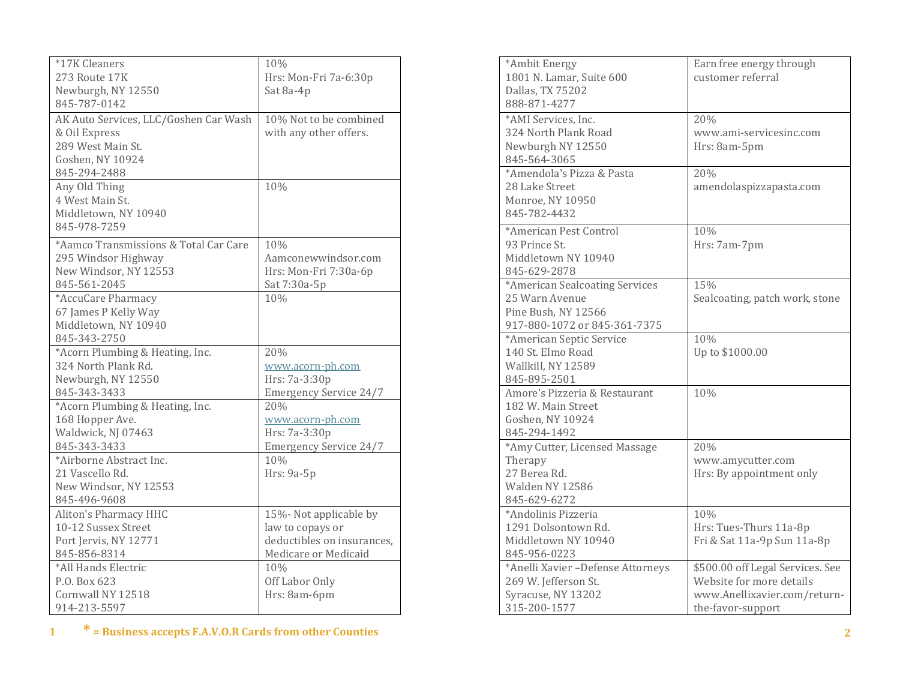| *17K Cleaners                         | 10%                           |
|---------------------------------------|-------------------------------|
| 273 Route 17K                         | Hrs: Mon-Fri 7a-6:30p         |
| Newburgh, NY 12550                    | Sat 8a-4p                     |
| 845-787-0142                          |                               |
| AK Auto Services, LLC/Goshen Car Wash | 10% Not to be combined        |
| & Oil Express                         | with any other offers.        |
| 289 West Main St.                     |                               |
| Goshen, NY 10924                      |                               |
| 845-294-2488                          |                               |
| Any Old Thing                         | 10%                           |
| 4 West Main St.                       |                               |
| Middletown, NY 10940                  |                               |
| 845-978-7259                          |                               |
| *Aamco Transmissions & Total Car Care |                               |
|                                       | 10%                           |
| 295 Windsor Highway                   | Aamconewwindsor.com           |
| New Windsor, NY 12553                 | Hrs: Mon-Fri 7:30a-6p         |
| 845-561-2045                          | Sat 7:30a-5p                  |
| *AccuCare Pharmacy                    | 10%                           |
| 67 James P Kelly Way                  |                               |
| Middletown, NY 10940                  |                               |
| 845-343-2750                          |                               |
| *Acorn Plumbing & Heating, Inc.       | 20%                           |
| 324 North Plank Rd.                   | www.acorn-ph.com              |
| Newburgh, NY 12550                    | Hrs: 7a-3:30p                 |
| 845-343-3433                          | <b>Emergency Service 24/7</b> |
| *Acorn Plumbing & Heating, Inc.       | 20%                           |
| 168 Hopper Ave.                       | www.acorn-ph.com              |
| Waldwick, NJ 07463                    | Hrs: 7a-3:30p                 |
| 845-343-3433                          | <b>Emergency Service 24/7</b> |
| *Airborne Abstract Inc.               | 10%                           |
| 21 Vascello Rd.                       | Hrs: 9a-5p                    |
| New Windsor, NY 12553                 |                               |
| 845-496-9608                          |                               |
| Aliton's Pharmacy HHC                 | 15%- Not applicable by        |
| 10-12 Sussex Street                   | law to copays or              |
| Port Jervis, NY 12771                 | deductibles on insurances,    |
| 845-856-8314                          | Medicare or Medicaid          |
| *All Hands Electric                   | 10%                           |
| P.O. Box 623                          | Off Labor Only                |
| Cornwall NY 12518                     | Hrs: 8am-6pm                  |
| 914-213-5597                          |                               |

| *Ambit Energy<br>1801 N. Lamar, Suite 600<br>Dallas, TX 75202<br>888-871-4277                           | Earn free energy through<br>customer referral                                                                     |
|---------------------------------------------------------------------------------------------------------|-------------------------------------------------------------------------------------------------------------------|
| *AMI Services, Inc.<br>324 North Plank Road<br>Newburgh NY 12550<br>845-564-3065                        | 20%<br>www.ami-servicesinc.com<br>Hrs: 8am-5pm                                                                    |
| *Amendola's Pizza & Pasta<br>28 Lake Street<br>Monroe, NY 10950<br>845-782-4432                         | 20%<br>amendolaspizzapasta.com                                                                                    |
| *American Pest Control<br>93 Prince St.<br>Middletown NY 10940<br>845-629-2878                          | 10%<br>Hrs: 7am-7pm                                                                                               |
| *American Sealcoating Services<br>25 Warn Avenue<br>Pine Bush, NY 12566<br>917-880-1072 or 845-361-7375 | 15%<br>Sealcoating, patch work, stone                                                                             |
| *American Septic Service<br>140 St. Elmo Road<br>Wallkill, NY 12589<br>845-895-2501                     | 10%<br>Up to \$1000.00                                                                                            |
| Amore's Pizzeria & Restaurant<br>182 W. Main Street<br>Goshen, NY 10924<br>845-294-1492                 | 10%                                                                                                               |
| *Amy Cutter, Licensed Massage<br>Therapy<br>27 Berea Rd.<br>Walden NY 12586<br>845-629-6272             | 20%<br>www.amycutter.com<br>Hrs: By appointment only                                                              |
| *Andolinis Pizzeria<br>1291 Dolsontown Rd.<br>Middletown NY 10940<br>845-956-0223                       | 10%<br>Hrs: Tues-Thurs 11a-8p<br>Fri & Sat 11a-9p Sun 11a-8p                                                      |
| *Anelli Xavier - Defense Attorneys<br>269 W. Jefferson St.<br>Syracuse, NY 13202<br>315-200-1577        | \$500.00 off Legal Services. See<br>Website for more details<br>www.Anellixavier.com/return-<br>the-favor-support |

**1 \* = Business accepts F.A.V.O.R Cards from other Counties 2**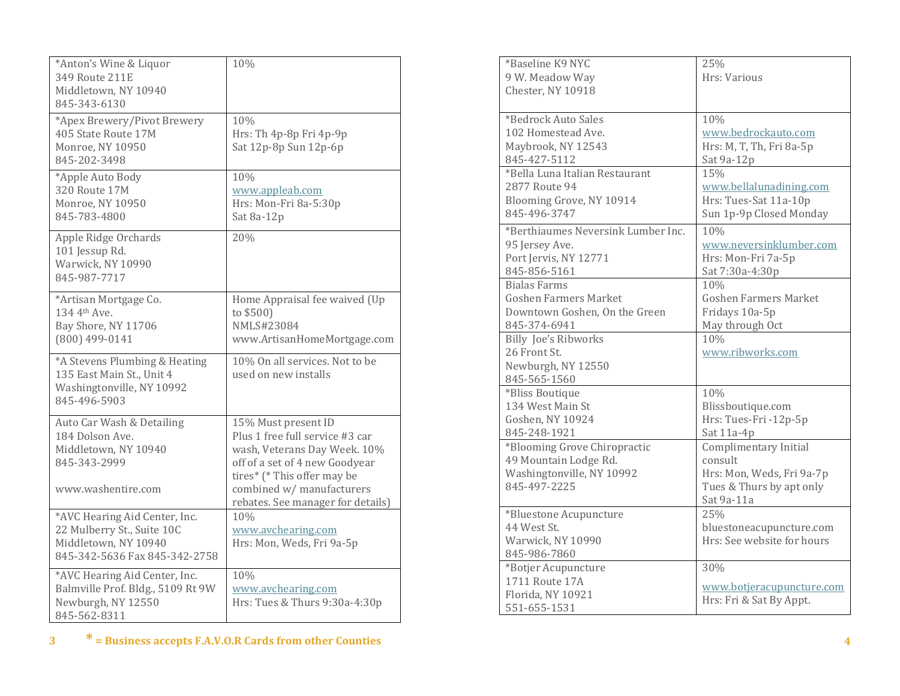| *Anton's Wine & Liquor<br>349 Route 211E<br>Middletown, NY 10940<br>845-343-6130                                     | 10%                                                                                                                                                                                                                       |
|----------------------------------------------------------------------------------------------------------------------|---------------------------------------------------------------------------------------------------------------------------------------------------------------------------------------------------------------------------|
| *Apex Brewery/Pivot Brewery<br>405 State Route 17M<br>Monroe, NY 10950<br>845-202-3498                               | 10%<br>Hrs: Th 4p-8p Fri 4p-9p<br>Sat 12p-8p Sun 12p-6p                                                                                                                                                                   |
| *Apple Auto Body<br>320 Route 17M<br>Monroe, NY 10950<br>845-783-4800                                                | 10%<br>www.appleab.com<br>Hrs: Mon-Fri 8a-5:30p<br>Sat 8a-12p                                                                                                                                                             |
| Apple Ridge Orchards<br>101 Jessup Rd.<br>Warwick, NY 10990<br>845-987-7717                                          | 20%                                                                                                                                                                                                                       |
| *Artisan Mortgage Co.<br>134 4th Ave.<br>Bay Shore, NY 11706<br>(800) 499-0141                                       | Home Appraisal fee waived (Up<br>to \$500)<br>NMLS#23084<br>www.ArtisanHomeMortgage.com                                                                                                                                   |
| *A Stevens Plumbing & Heating<br>135 East Main St., Unit 4<br>Washingtonville, NY 10992<br>845-496-5903              | 10% On all services. Not to be<br>used on new installs                                                                                                                                                                    |
| Auto Car Wash & Detailing<br>184 Dolson Ave.<br>Middletown, NY 10940<br>845-343-2999<br>www.washentire.com           | 15% Must present ID<br>Plus 1 free full service #3 car<br>wash, Veterans Day Week. 10%<br>off of a set of 4 new Goodyear<br>tires* (* This offer may be<br>combined w/ manufacturers<br>rebates. See manager for details) |
| *AVC Hearing Aid Center, Inc.<br>22 Mulberry St., Suite 10C<br>Middletown, NY 10940<br>845-342-5636 Fax 845-342-2758 | 10%<br>www.avchearing.com<br>Hrs: Mon, Weds, Fri 9a-5p                                                                                                                                                                    |
| *AVC Hearing Aid Center, Inc.<br>Balmville Prof. Bldg., 5109 Rt 9W<br>Newburgh, NY 12550<br>845-562-8311             | 10%<br>www.avchearing.com<br>Hrs: Tues & Thurs 9:30a-4:30p                                                                                                                                                                |

| *Baseline K9 NYC                   | 25%                          |
|------------------------------------|------------------------------|
| 9 W. Meadow Way                    | Hrs: Various                 |
| Chester, NY 10918                  |                              |
|                                    |                              |
| *Bedrock Auto Sales                | 10%                          |
| 102 Homestead Ave.                 | www.bedrockauto.com          |
| Maybrook, NY 12543                 | Hrs: M, T, Th, Fri 8a-5p     |
| 845-427-5112                       | Sat 9a-12p                   |
| *Bella Luna Italian Restaurant     | 15%                          |
| 2877 Route 94                      | www.bellalunadining.com      |
| Blooming Grove, NY 10914           | Hrs: Tues-Sat 11a-10p        |
| 845-496-3747                       | Sun 1p-9p Closed Monday      |
|                                    |                              |
| *Berthiaumes Neversink Lumber Inc. | 10%                          |
| 95 Jersey Ave.                     | www.neversinklumber.com      |
| Port Jervis, NY 12771              | Hrs: Mon-Fri 7a-5p           |
| 845-856-5161                       | Sat 7:30a-4:30p              |
| <b>Bialas Farms</b>                | 10%                          |
| <b>Goshen Farmers Market</b>       | <b>Goshen Farmers Market</b> |
| Downtown Goshen, On the Green      | Fridays 10a-5p               |
| 845-374-6941                       | May through Oct              |
| <b>Billy Joe's Ribworks</b>        | 10%                          |
| 26 Front St.                       | www.ribworks.com             |
| Newburgh, NY 12550                 |                              |
| 845-565-1560                       |                              |
| *Bliss Boutique                    | 10%                          |
| 134 West Main St                   | Blissboutique.com            |
| Goshen, NY 10924                   | Hrs: Tues-Fri -12p-5p        |
| 845-248-1921                       | Sat 11a-4p                   |
| *Blooming Grove Chiropractic       | Complimentary Initial        |
| 49 Mountain Lodge Rd.              | consult                      |
| Washingtonville, NY 10992          | Hrs: Mon, Weds, Fri 9a-7p    |
| 845-497-2225                       | Tues & Thurs by apt only     |
|                                    | Sat 9a-11a                   |
| *Bluestone Acupuncture             | 25%                          |
| 44 West St.                        | bluestoneacupuncture.com     |
| Warwick, NY 10990                  | Hrs: See website for hours   |
| 845-986-7860                       |                              |
| *Botjer Acupuncture                | 30%                          |
| 1711 Route 17A                     | www.botjeracupuncture.com    |
| Florida, NY 10921                  |                              |
| 551-655-1531                       | Hrs: Fri & Sat By Appt.      |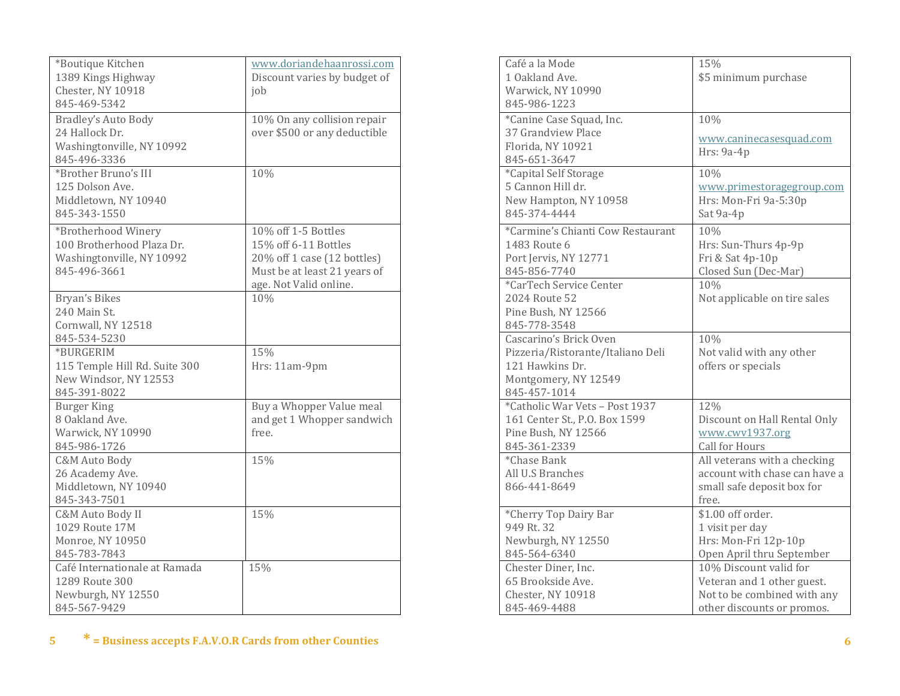| *Boutique Kitchen             | www.doriandehaanrossi.com    |
|-------------------------------|------------------------------|
| 1389 Kings Highway            | Discount varies by budget of |
| Chester, NY 10918             | job                          |
| 845-469-5342                  |                              |
| <b>Bradley's Auto Body</b>    | 10% On any collision repair  |
| 24 Hallock Dr.                | over \$500 or any deductible |
| Washingtonville, NY 10992     |                              |
| 845-496-3336                  |                              |
| *Brother Bruno's III          | 10%                          |
| 125 Dolson Ave.               |                              |
| Middletown, NY 10940          |                              |
| 845-343-1550                  |                              |
|                               |                              |
| *Brotherhood Winery           | 10% off 1-5 Bottles          |
| 100 Brotherhood Plaza Dr.     | 15% off 6-11 Bottles         |
| Washingtonville, NY 10992     | 20% off 1 case (12 bottles)  |
| 845-496-3661                  | Must be at least 21 years of |
|                               | age. Not Valid online.       |
| Bryan's Bikes                 | 10%                          |
| 240 Main St.                  |                              |
| Cornwall, NY 12518            |                              |
| 845-534-5230                  |                              |
| *BURGERIM                     | 15%                          |
| 115 Temple Hill Rd. Suite 300 | Hrs: 11am-9pm                |
| New Windsor, NY 12553         |                              |
| 845-391-8022                  |                              |
| <b>Burger King</b>            | Buy a Whopper Value meal     |
| 8 Oakland Ave.                | and get 1 Whopper sandwich   |
| Warwick, NY 10990             | free.                        |
| 845-986-1726                  |                              |
| C&M Auto Body                 | 15%                          |
| 26 Academy Ave.               |                              |
| Middletown, NY 10940          |                              |
| 845-343-7501                  |                              |
| C&M Auto Body II              | 15%                          |
| 1029 Route 17M                |                              |
| Monroe, NY 10950              |                              |
| 845-783-7843                  |                              |
| Café Internationale at Ramada | 15%                          |
| 1289 Route 300                |                              |
| Newburgh, NY 12550            |                              |
| 845-567-9429                  |                              |

| Café a la Mode                    | 15%                           |
|-----------------------------------|-------------------------------|
| 1 Oakland Ave.                    | \$5 minimum purchase          |
| Warwick, NY 10990                 |                               |
| 845-986-1223                      |                               |
|                                   |                               |
| *Canine Case Squad, Inc.          | 10%                           |
| 37 Grandview Place                | www.caninecasesquad.com       |
| Florida, NY 10921                 | Hrs: 9a-4p                    |
| 845-651-3647                      |                               |
| *Capital Self Storage             | 10%                           |
| 5 Cannon Hill dr.                 | www.primestoragegroup.com     |
| New Hampton, NY 10958             | Hrs: Mon-Fri 9a-5:30p         |
| 845-374-4444                      | Sat 9a-4p                     |
| *Carmine's Chianti Cow Restaurant | 10%                           |
| 1483 Route 6                      | Hrs: Sun-Thurs 4p-9p          |
| Port Jervis, NY 12771             | Fri & Sat 4p-10p              |
| 845-856-7740                      | Closed Sun (Dec-Mar)          |
| *CarTech Service Center           | 10%                           |
| 2024 Route 52                     | Not applicable on tire sales  |
| Pine Bush, NY 12566               |                               |
| 845-778-3548                      |                               |
| Cascarino's Brick Oven            | 10%                           |
| Pizzeria/Ristorante/Italiano Deli | Not valid with any other      |
| 121 Hawkins Dr.                   | offers or specials            |
| Montgomery, NY 12549              |                               |
| 845-457-1014                      |                               |
| *Catholic War Vets - Post 1937    | 12%                           |
| 161 Center St., P.O. Box 1599     | Discount on Hall Rental Only  |
| Pine Bush, NY 12566               | www.cwv1937.org               |
| 845-361-2339                      | Call for Hours                |
| *Chase Bank                       | All veterans with a checking  |
| All U.S Branches                  | account with chase can have a |
| 866-441-8649                      | small safe deposit box for    |
|                                   | free.                         |
| *Cherry Top Dairy Bar             | \$1.00 off order.             |
| 949 Rt. 32                        | 1 visit per day               |
| Newburgh, NY 12550                | Hrs: Mon-Fri 12p-10p          |
| 845-564-6340                      | Open April thru September     |
| Chester Diner, Inc.               | 10% Discount valid for        |
| 65 Brookside Ave.                 | Veteran and 1 other guest.    |
| Chester, NY 10918                 | Not to be combined with any   |
| 845-469-4488                      | other discounts or promos.    |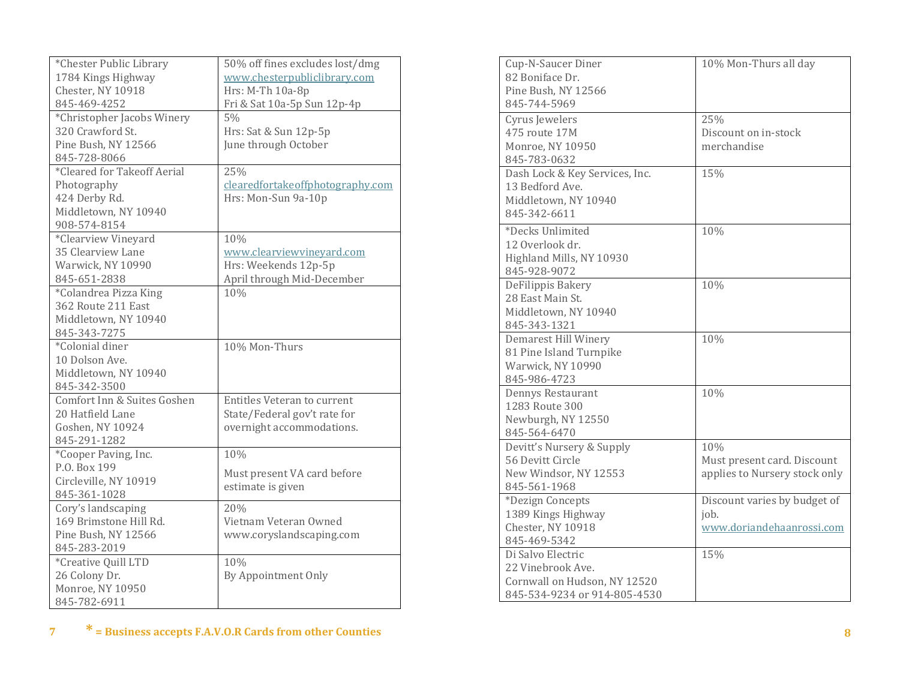| *Chester Public Library     | 50% off fines excludes lost/dmg    |
|-----------------------------|------------------------------------|
| 1784 Kings Highway          | www.chesterpubliclibrary.com       |
| Chester, NY 10918           | Hrs: M-Th 10a-8p                   |
| 845-469-4252                | Fri & Sat 10a-5p Sun 12p-4p        |
| *Christopher Jacobs Winery  | 5%                                 |
| 320 Crawford St.            | Hrs: Sat & Sun 12p-5p              |
| Pine Bush, NY 12566         | June through October               |
| 845-728-8066                |                                    |
| *Cleared for Takeoff Aerial | 25%                                |
| Photography                 | clearedfortakeoffphotography.com   |
| 424 Derby Rd.               | Hrs: Mon-Sun 9a-10p                |
| Middletown, NY 10940        |                                    |
| 908-574-8154                |                                    |
| *Clearview Vineyard         | 10%                                |
| 35 Clearview Lane           | www.clearviewvinevard.com          |
| Warwick, NY 10990           | Hrs: Weekends 12p-5p               |
| 845-651-2838                | April through Mid-December         |
| *Colandrea Pizza King       | 10%                                |
| 362 Route 211 East          |                                    |
|                             |                                    |
| Middletown, NY 10940        |                                    |
| 845-343-7275                |                                    |
| *Colonial diner             | 10% Mon-Thurs                      |
| 10 Dolson Ave.              |                                    |
| Middletown, NY 10940        |                                    |
| 845-342-3500                |                                    |
| Comfort Inn & Suites Goshen | <b>Entitles Veteran to current</b> |
| 20 Hatfield Lane            | State/Federal gov't rate for       |
| Goshen, NY 10924            | overnight accommodations.          |
| 845-291-1282                |                                    |
| *Cooper Paving, Inc.        | 10%                                |
| P.O. Box 199                | Must present VA card before        |
| Circleville, NY 10919       | estimate is given                  |
| 845-361-1028                |                                    |
| Cory's landscaping          | 20%                                |
| 169 Brimstone Hill Rd.      | Vietnam Veteran Owned              |
| Pine Bush, NY 12566         | www.coryslandscaping.com           |
| 845-283-2019                |                                    |
| *Creative Quill LTD         | 10%                                |
| 26 Colony Dr.               | By Appointment Only                |
| Monroe, NY 10950            |                                    |
| 845-782-6911                |                                    |
|                             |                                    |

| Cup-N-Saucer Diner<br>82 Boniface Dr.<br>Pine Bush, NY 12566<br>845-744-5969                           | 10% Mon-Thurs all day                                               |
|--------------------------------------------------------------------------------------------------------|---------------------------------------------------------------------|
| Cyrus Jewelers<br>475 route 17M<br>Monroe, NY 10950<br>845-783-0632                                    | 25%<br>Discount on in-stock<br>merchandise                          |
| Dash Lock & Key Services, Inc.<br>13 Bedford Ave.<br>Middletown, NY 10940<br>845-342-6611              | 15%                                                                 |
| *Decks Unlimited<br>12 Overlook dr.<br>Highland Mills, NY 10930<br>845-928-9072                        | 10%                                                                 |
| DeFilippis Bakery<br>28 East Main St.<br>Middletown, NY 10940<br>845-343-1321                          | 10%                                                                 |
| Demarest Hill Winery<br>81 Pine Island Turnpike<br>Warwick, NY 10990<br>845-986-4723                   | 10%                                                                 |
| Dennys Restaurant<br>1283 Route 300<br>Newburgh, NY 12550<br>845-564-6470                              | 10%                                                                 |
| Devitt's Nursery & Supply<br>56 Devitt Circle<br>New Windsor, NY 12553<br>845-561-1968                 | 10%<br>Must present card. Discount<br>applies to Nursery stock only |
| *Dezign Concepts<br>1389 Kings Highway<br>Chester, NY 10918<br>845-469-5342                            | Discount varies by budget of<br>job.<br>www.doriandehaanrossi.com   |
| Di Salvo Electric<br>22 Vinebrook Ave.<br>Cornwall on Hudson, NY 12520<br>845-534-9234 or 914-805-4530 | 15%                                                                 |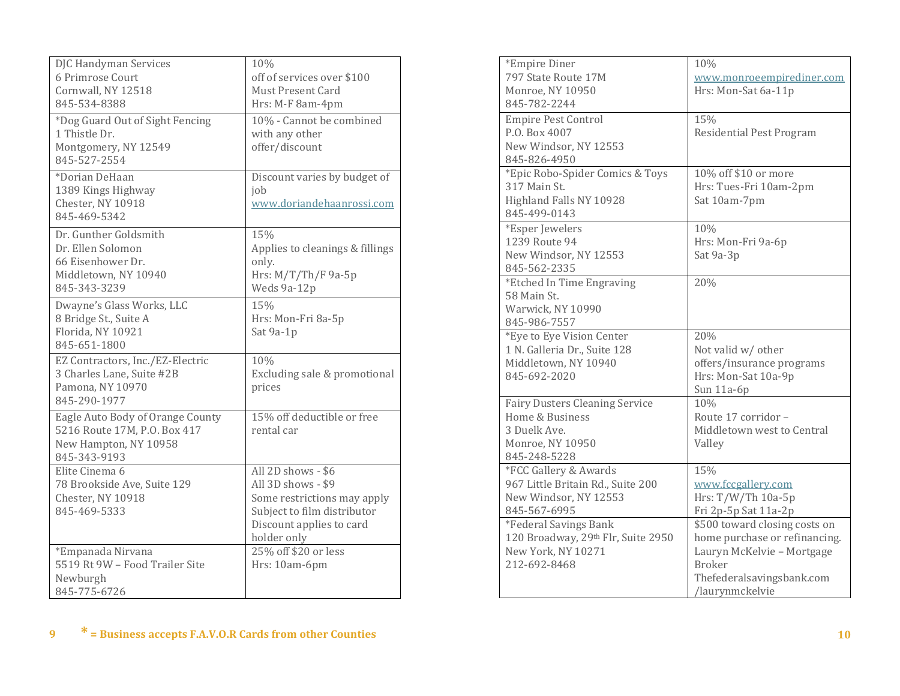| DJC Handyman Services<br>6 Primrose Court<br>Cornwall, NY 12518<br>845-534-8388<br>*Dog Guard Out of Sight Fencing<br>1 Thistle Dr.<br>Montgomery, NY 12549<br>845-527-2554<br>*Dorian DeHaan | 10%<br>off of services over \$100<br>Must Present Card<br>Hrs: M-F 8am-4pm<br>10% - Cannot be combined<br>with any other<br>offer/discount<br>Discount varies by budget of |
|-----------------------------------------------------------------------------------------------------------------------------------------------------------------------------------------------|----------------------------------------------------------------------------------------------------------------------------------------------------------------------------|
| 1389 Kings Highway<br>Chester, NY 10918<br>845-469-5342                                                                                                                                       | job<br>www.doriandehaanrossi.com                                                                                                                                           |
| Dr. Gunther Goldsmith<br>Dr. Ellen Solomon<br>66 Eisenhower Dr.<br>Middletown, NY 10940<br>845-343-3239                                                                                       | 15%<br>Applies to cleanings & fillings<br>only.<br>Hrs: M/T/Th/F 9a-5p<br>Weds 9a-12p                                                                                      |
| Dwayne's Glass Works, LLC<br>8 Bridge St., Suite A<br>Florida, NY 10921<br>845-651-1800                                                                                                       | 15%<br>Hrs: Mon-Fri 8a-5p<br>Sat 9a-1p                                                                                                                                     |
| EZ Contractors, Inc./EZ-Electric<br>3 Charles Lane, Suite #2B<br>Pamona, NY 10970<br>845-290-1977                                                                                             | 10%<br>Excluding sale & promotional<br>prices                                                                                                                              |
| Eagle Auto Body of Orange County<br>5216 Route 17M, P.O. Box 417<br>New Hampton, NY 10958<br>845-343-9193                                                                                     | 15% off deductible or free<br>rental car                                                                                                                                   |
| Elite Cinema 6<br>78 Brookside Ave, Suite 129<br>Chester, NY 10918<br>845-469-5333                                                                                                            | All 2D shows - \$6<br>All 3D shows - \$9<br>Some restrictions may apply<br>Subject to film distributor<br>Discount applies to card<br>holder only                          |
| *Empanada Nirvana<br>5519 Rt 9W - Food Trailer Site<br>Newburgh<br>845-775-6726                                                                                                               | 25% off \$20 or less<br>Hrs: 10am-6pm                                                                                                                                      |

| *Empire Diner                         | 10%                             |
|---------------------------------------|---------------------------------|
|                                       |                                 |
| 797 State Route 17M                   | www.monroeempirediner.com       |
| Monroe, NY 10950                      | Hrs: Mon-Sat 6a-11p             |
| 845-782-2244                          |                                 |
| <b>Empire Pest Control</b>            | 15%                             |
| P.O. Box 4007                         | <b>Residential Pest Program</b> |
| New Windsor, NY 12553                 |                                 |
| 845-826-4950                          |                                 |
| *Epic Robo-Spider Comics & Toys       | 10% off \$10 or more            |
| 317 Main St.                          | Hrs: Tues-Fri 10am-2pm          |
| Highland Falls NY 10928               | Sat 10am-7pm                    |
| 845-499-0143                          |                                 |
|                                       |                                 |
| *Esper Jewelers<br>1239 Route 94      | 10%                             |
|                                       | Hrs: Mon-Fri 9a-6p              |
| New Windsor, NY 12553                 | Sat 9a-3p                       |
| 845-562-2335                          |                                 |
| *Etched In Time Engraving             | 20%                             |
| 58 Main St.                           |                                 |
| Warwick, NY 10990                     |                                 |
| 845-986-7557                          |                                 |
| *Eye to Eye Vision Center             | 20%                             |
| 1 N. Galleria Dr., Suite 128          | Not valid w/ other              |
| Middletown, NY 10940                  | offers/insurance programs       |
| 845-692-2020                          | Hrs: Mon-Sat 10a-9p             |
|                                       | Sun 11a-6p                      |
| <b>Fairy Dusters Cleaning Service</b> | 10%                             |
| Home & Business                       | Route 17 corridor -             |
| 3 Duelk Ave.                          | Middletown west to Central      |
| Monroe, NY 10950                      | Valley                          |
| 845-248-5228                          |                                 |
| *FCC Gallery & Awards                 | 15%                             |
| 967 Little Britain Rd., Suite 200     | www.fccgallery.com              |
| New Windsor, NY 12553                 | Hrs: $T/W/Th$ 10a-5p            |
|                                       |                                 |
| 845-567-6995                          | Fri 2p-5p Sat 11a-2p            |
| *Federal Savings Bank                 | \$500 toward closing costs on   |
| 120 Broadway, 29th Flr, Suite 2950    | home purchase or refinancing.   |
| New York, NY 10271                    | Lauryn McKelvie - Mortgage      |
| 212-692-8468                          | <b>Broker</b>                   |
|                                       | Thefederalsavingsbank.com       |
|                                       | /laurynmckelvie                 |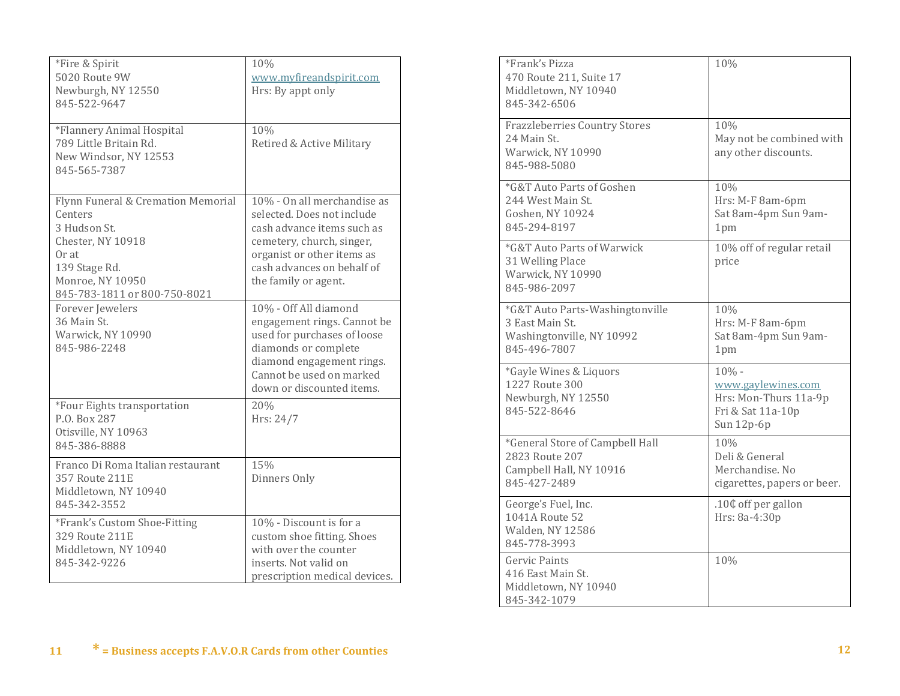| *Fire & Spirit<br>5020 Route 9W<br>Newburgh, NY 12550<br>845-522-9647                                                                                                                                                                    | 10%<br>www.myfireandspirit.com<br>Hrs: By appt only                                                                                                                                                                                                                                                                                                                              |
|------------------------------------------------------------------------------------------------------------------------------------------------------------------------------------------------------------------------------------------|----------------------------------------------------------------------------------------------------------------------------------------------------------------------------------------------------------------------------------------------------------------------------------------------------------------------------------------------------------------------------------|
| *Flannery Animal Hospital<br>789 Little Britain Rd.<br>New Windsor, NY 12553<br>845-565-7387                                                                                                                                             | 10%<br>Retired & Active Military                                                                                                                                                                                                                                                                                                                                                 |
| Flynn Funeral & Cremation Memorial<br>Centers<br>3 Hudson St.<br>Chester, NY 10918<br>Or at<br>139 Stage Rd.<br>Monroe, NY 10950<br>845-783-1811 or 800-750-8021<br>Forever Jewelers<br>36 Main St.<br>Warwick, NY 10990<br>845-986-2248 | 10% - On all merchandise as<br>selected. Does not include<br>cash advance items such as<br>cemetery, church, singer,<br>organist or other items as<br>cash advances on behalf of<br>the family or agent.<br>10% - Off All diamond<br>engagement rings. Cannot be<br>used for purchases of loose<br>diamonds or complete<br>diamond engagement rings.<br>Cannot be used on marked |
| *Four Eights transportation<br>P.O. Box 287<br>Otisville, NY 10963<br>845-386-8888                                                                                                                                                       | down or discounted items.<br>20%<br>Hrs: 24/7                                                                                                                                                                                                                                                                                                                                    |
| Franco Di Roma Italian restaurant<br>357 Route 211E<br>Middletown, NY 10940<br>845-342-3552                                                                                                                                              | 15%<br>Dinners Only                                                                                                                                                                                                                                                                                                                                                              |
| *Frank's Custom Shoe-Fitting<br>329 Route 211E<br>Middletown, NY 10940<br>845-342-9226                                                                                                                                                   | 10% - Discount is for a<br>custom shoe fitting. Shoes<br>with over the counter<br>inserts. Not valid on<br>prescription medical devices.                                                                                                                                                                                                                                         |

| *Frank's Pizza<br>470 Route 211, Suite 17<br>Middletown, NY 10940<br>845-342-6506               | 10%                                                                                       |
|-------------------------------------------------------------------------------------------------|-------------------------------------------------------------------------------------------|
| <b>Frazzleberries Country Stores</b><br>24 Main St.<br>Warwick, NY 10990<br>845-988-5080        | 10%<br>May not be combined with<br>any other discounts.                                   |
| *G&T Auto Parts of Goshen<br>244 West Main St.<br>Goshen, NY 10924<br>845-294-8197              | 10%<br>Hrs: M-F 8am-6pm<br>Sat 8am-4pm Sun 9am-<br>1pm                                    |
| *G&T Auto Parts of Warwick<br>31 Welling Place<br>Warwick, NY 10990<br>845-986-2097             | 10% off of regular retail<br>price                                                        |
| *G&T Auto Parts-Washingtonville<br>3 East Main St.<br>Washingtonville, NY 10992<br>845-496-7807 | 10%<br>Hrs: M-F 8am-6pm<br>Sat 8am-4pm Sun 9am-<br>1pm                                    |
| *Gayle Wines & Liquors<br>1227 Route 300<br>Newburgh, NY 12550<br>845-522-8646                  | $10% -$<br>www.gaylewines.com<br>Hrs: Mon-Thurs 11a-9p<br>Fri & Sat 11a-10p<br>Sun 12p-6p |
| *General Store of Campbell Hall<br>2823 Route 207<br>Campbell Hall, NY 10916<br>845-427-2489    | 10%<br>Deli & General<br>Merchandise. No<br>cigarettes, papers or beer.                   |
| George's Fuel, Inc.<br>1041A Route 52<br>Walden, NY 12586<br>845-778-3993                       | .10¢ off per gallon<br>Hrs: 8a-4:30p                                                      |
| Gervic Paints<br>416 East Main St.<br>Middletown, NY 10940<br>845-342-1079                      | 10%                                                                                       |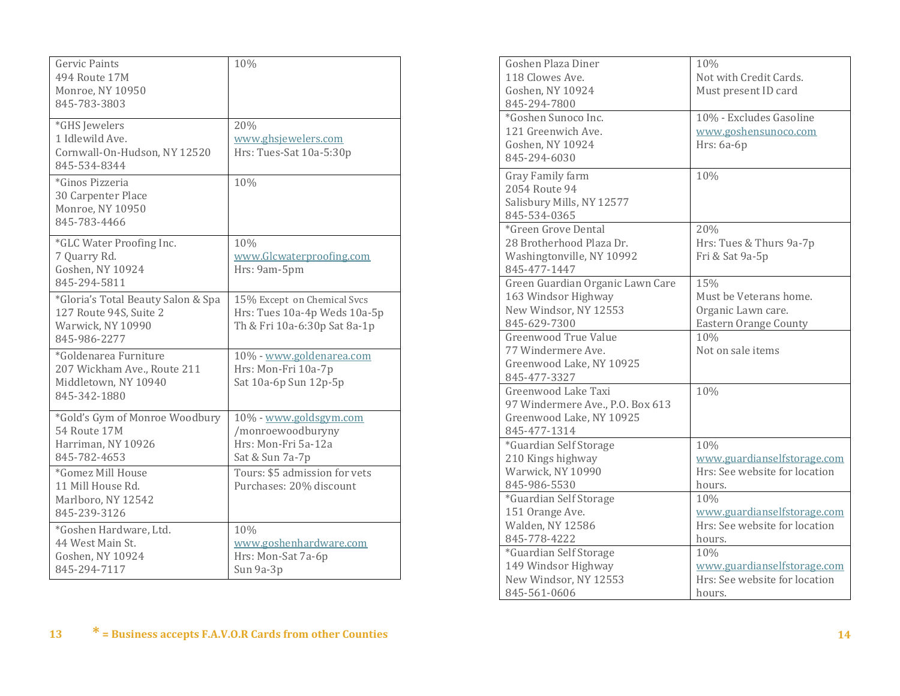| <b>Gervic Paints</b><br>494 Route 17M<br>Monroe, NY 10950<br>845-783-3803                         | 10%                                                                                         |
|---------------------------------------------------------------------------------------------------|---------------------------------------------------------------------------------------------|
| *GHS Jewelers<br>1 Idlewild Ave.<br>Cornwall-On-Hudson, NY 12520<br>845-534-8344                  | 20%<br>www.ghsjewelers.com<br>Hrs: Tues-Sat 10a-5:30p                                       |
| *Ginos Pizzeria<br>30 Carpenter Place<br>Monroe, NY 10950<br>845-783-4466                         | 10%                                                                                         |
| *GLC Water Proofing Inc.<br>7 Quarry Rd.<br>Goshen, NY 10924<br>845-294-5811                      | 10%<br>www.Glcwaterproofing.com<br>Hrs: 9am-5pm                                             |
| *Gloria's Total Beauty Salon & Spa<br>127 Route 94S, Suite 2<br>Warwick, NY 10990<br>845-986-2277 | 15% Except on Chemical Svcs<br>Hrs: Tues 10a-4p Weds 10a-5p<br>Th & Fri 10a-6:30p Sat 8a-1p |
| *Goldenarea Furniture<br>207 Wickham Ave., Route 211<br>Middletown, NY 10940<br>845-342-1880      | 10% - www.goldenarea.com<br>Hrs: Mon-Fri 10a-7p<br>Sat 10a-6p Sun 12p-5p                    |
| *Gold's Gym of Monroe Woodbury<br>54 Route 17M<br>Harriman, NY 10926<br>845-782-4653              | 10% - www.goldsgym.com<br>/monroewoodburyny<br>Hrs: Mon-Fri 5a-12a<br>Sat & Sun 7a-7p       |
| *Gomez Mill House<br>11 Mill House Rd.<br>Marlboro, NY 12542<br>845-239-3126                      | Tours: \$5 admission for vets<br>Purchases: 20% discount                                    |
| *Goshen Hardware, Ltd.<br>44 West Main St.<br>Goshen, NY 10924<br>845-294-7117                    | 10%<br>www.goshenhardware.com<br>Hrs: Mon-Sat 7a-6p<br>Sun 9a-3p                            |

| Goshen Plaza Diner                   | 10%                           |
|--------------------------------------|-------------------------------|
| 118 Clowes Ave.                      | Not with Credit Cards.        |
| Goshen, NY 10924                     | Must present ID card          |
| 845-294-7800                         |                               |
| *Goshen Sunoco Inc.                  | 10% - Excludes Gasoline       |
| 121 Greenwich Ave.                   | www.goshensunoco.com          |
| Goshen, NY 10924                     | Hrs: 6a-6p                    |
| 845-294-6030                         |                               |
| Gray Family farm                     | 10%                           |
| 2054 Route 94                        |                               |
| Salisbury Mills, NY 12577            |                               |
| 845-534-0365                         |                               |
| *Green Grove Dental                  | 20%                           |
| 28 Brotherhood Plaza Dr.             | Hrs: Tues & Thurs 9a-7p       |
| Washingtonville, NY 10992            | Fri & Sat 9a-5p               |
| 845-477-1447                         |                               |
| Green Guardian Organic Lawn Care     | 15%                           |
| 163 Windsor Highway                  | Must be Veterans home.        |
| New Windsor, NY 12553                | Organic Lawn care.            |
| 845-629-7300                         | <b>Eastern Orange County</b>  |
| <b>Greenwood True Value</b>          | 10%                           |
| 77 Windermere Ave.                   | Not on sale items             |
| Greenwood Lake, NY 10925             |                               |
| 845-477-3327                         |                               |
| Greenwood Lake Taxi                  | 10%                           |
| 97 Windermere Ave., P.O. Box 613     |                               |
| Greenwood Lake, NY 10925             |                               |
| 845-477-1314                         |                               |
| <i><b>*Guardian Self Storage</b></i> | 10%                           |
| 210 Kings highway                    | www.guardianselfstorage.com   |
| Warwick, NY 10990                    | Hrs: See website for location |
| 845-986-5530                         | hours.                        |
| *Guardian Self Storage               | 10%                           |
| 151 Orange Ave.                      | www.guardianselfstorage.com   |
| <b>Walden, NY 12586</b>              | Hrs: See website for location |
| 845-778-4222                         | hours.                        |
| *Guardian Self Storage               | 10%                           |
| 149 Windsor Highway                  | www.guardianselfstorage.com   |
| New Windsor, NY 12553                | Hrs: See website for location |
| 845-561-0606                         | hours.                        |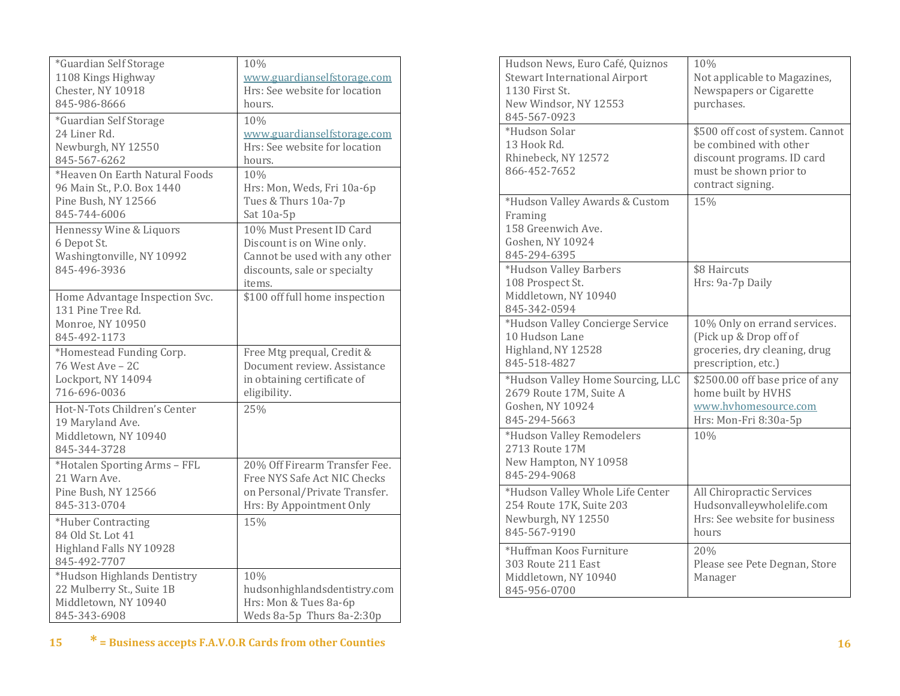| *Guardian Self Storage                                                                   | 10%                                                                                                                              |
|------------------------------------------------------------------------------------------|----------------------------------------------------------------------------------------------------------------------------------|
| 1108 Kings Highway                                                                       | www.guardianselfstorage.com                                                                                                      |
| Chester, NY 10918                                                                        | Hrs: See website for location                                                                                                    |
| 845-986-8666                                                                             | hours.                                                                                                                           |
| *Guardian Self Storage                                                                   | 10%                                                                                                                              |
| 24 Liner Rd.                                                                             | www.guardianselfstorage.com                                                                                                      |
| Newburgh, NY 12550                                                                       | Hrs: See website for location                                                                                                    |
| 845-567-6262                                                                             | hours.                                                                                                                           |
| *Heaven On Earth Natural Foods                                                           | 10%                                                                                                                              |
| 96 Main St., P.O. Box 1440                                                               | Hrs: Mon, Weds, Fri 10a-6p                                                                                                       |
| Pine Bush, NY 12566                                                                      | Tues & Thurs 10a-7p                                                                                                              |
| 845-744-6006                                                                             | Sat 10a-5p                                                                                                                       |
| Hennessy Wine & Liquors<br>6 Depot St.<br>Washingtonville, NY 10992<br>845-496-3936      | 10% Must Present ID Card<br>Discount is on Wine only.<br>Cannot be used with any other<br>discounts, sale or specialty<br>items. |
| Home Advantage Inspection Svc.<br>131 Pine Tree Rd.<br>Monroe, NY 10950<br>845-492-1173  | \$100 off full home inspection                                                                                                   |
| *Homestead Funding Corp.                                                                 | Free Mtg prequal, Credit &                                                                                                       |
| 76 West Ave - 2C                                                                         | Document review. Assistance                                                                                                      |
| Lockport, NY 14094                                                                       | in obtaining certificate of                                                                                                      |
| 716-696-0036                                                                             | eligibility.                                                                                                                     |
| Hot-N-Tots Children's Center<br>19 Maryland Ave.<br>Middletown, NY 10940<br>845-344-3728 | 25%                                                                                                                              |
| *Hotalen Sporting Arms - FFL                                                             | 20% Off Firearm Transfer Fee.                                                                                                    |
| 21 Warn Ave.                                                                             | Free NYS Safe Act NIC Checks                                                                                                     |
| Pine Bush, NY 12566                                                                      | on Personal/Private Transfer.                                                                                                    |
| 845-313-0704                                                                             | Hrs: By Appointment Only                                                                                                         |
| *Huber Contracting<br>84 Old St. Lot 41<br>Highland Falls NY 10928<br>845-492-7707       | 15%                                                                                                                              |
| *Hudson Highlands Dentistry                                                              | 10%                                                                                                                              |
| 22 Mulberry St., Suite 1B                                                                | hudsonhighlandsdentistry.com                                                                                                     |
| Middletown, NY 10940                                                                     | Hrs: Mon & Tues 8a-6p                                                                                                            |
| 845-343-6908                                                                             | Weds 8a-5p Thurs 8a-2:30p                                                                                                        |

| Hudson News, Euro Café, Quiznos<br><b>Stewart International Airport</b><br>1130 First St.<br>New Windsor, NY 12553<br>845-567-0923 | 10%<br>Not applicable to Magazines,<br>Newspapers or Cigarette<br>purchases.                                                            |
|------------------------------------------------------------------------------------------------------------------------------------|-----------------------------------------------------------------------------------------------------------------------------------------|
| *Hudson Solar<br>13 Hook Rd.<br>Rhinebeck, NY 12572<br>866-452-7652                                                                | \$500 off cost of system. Cannot<br>be combined with other<br>discount programs. ID card<br>must be shown prior to<br>contract signing. |
| *Hudson Valley Awards & Custom<br>Framing<br>158 Greenwich Ave.<br>Goshen, NY 10924<br>845-294-6395                                | 15%                                                                                                                                     |
| *Hudson Valley Barbers<br>108 Prospect St.<br>Middletown, NY 10940<br>845-342-0594                                                 | \$8 Haircuts<br>Hrs: 9a-7p Daily                                                                                                        |
| *Hudson Valley Concierge Service<br>10 Hudson Lane<br>Highland, NY 12528<br>845-518-4827                                           | 10% Only on errand services.<br>(Pick up & Drop off of<br>groceries, dry cleaning, drug<br>prescription, etc.)                          |
| *Hudson Valley Home Sourcing, LLC<br>2679 Route 17M, Suite A<br>Goshen, NY 10924<br>845-294-5663                                   | \$2500.00 off base price of any<br>home built by HVHS<br>www.hyhomesource.com<br>Hrs: Mon-Fri 8:30a-5p                                  |
| *Hudson Valley Remodelers<br>2713 Route 17M<br>New Hampton, NY 10958<br>845-294-9068                                               | 10%                                                                                                                                     |
| *Hudson Valley Whole Life Center<br>254 Route 17K, Suite 203<br>Newburgh, NY 12550<br>845-567-9190                                 | All Chiropractic Services<br>Hudsonvalleywholelife.com<br>Hrs: See website for business<br>hours                                        |
| *Huffman Koos Furniture<br>303 Route 211 East<br>Middletown, NY 10940<br>845-956-0700                                              | 20%<br>Please see Pete Degnan, Store<br>Manager                                                                                         |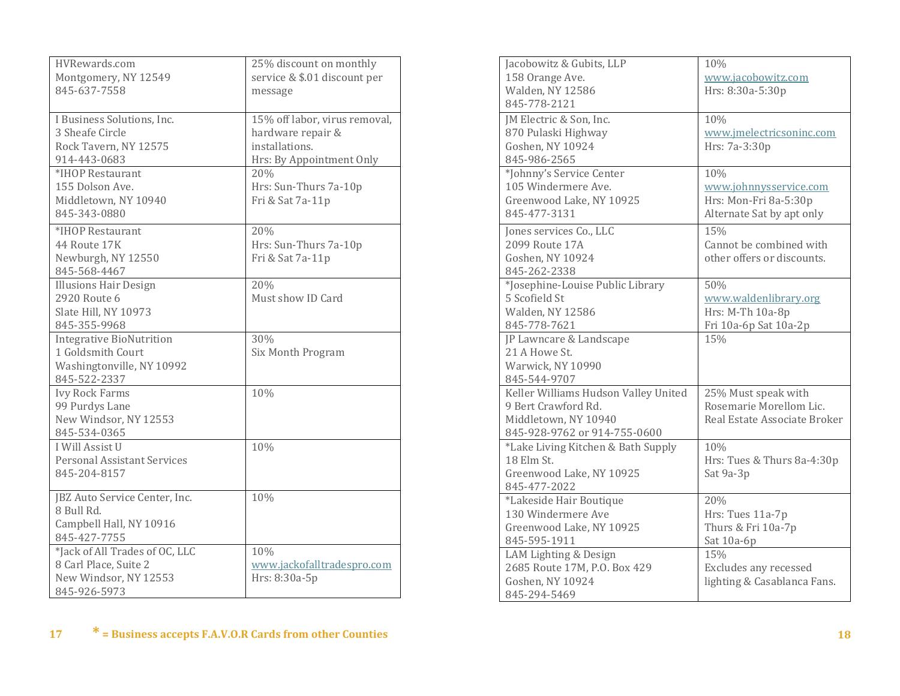| HVRewards.com<br>Montgomery, NY 12549<br>845-637-7558                                                                                                                 | 25% discount on monthly<br>service & \$.01 discount per<br>message                                                                                   |
|-----------------------------------------------------------------------------------------------------------------------------------------------------------------------|------------------------------------------------------------------------------------------------------------------------------------------------------|
| I Business Solutions, Inc.<br>3 Sheafe Circle<br>Rock Tavern, NY 12575<br>914-443-0683<br>*IHOP Restaurant<br>155 Dolson Ave.<br>Middletown, NY 10940<br>845-343-0880 | 15% off labor, virus removal,<br>hardware repair &<br>installations.<br>Hrs: By Appointment Only<br>20%<br>Hrs: Sun-Thurs 7a-10p<br>Fri & Sat 7a-11p |
| *IHOP Restaurant<br>44 Route 17K<br>Newburgh, NY 12550<br>845-568-4467                                                                                                | 20%<br>Hrs: Sun-Thurs 7a-10p<br>Fri & Sat 7a-11p                                                                                                     |
| <b>Illusions Hair Design</b><br>2920 Route 6<br>Slate Hill, NY 10973<br>845-355-9968                                                                                  | 20%<br>Must show ID Card                                                                                                                             |
| <b>Integrative BioNutrition</b><br>1 Goldsmith Court<br>Washingtonville, NY 10992<br>845-522-2337                                                                     | 30%<br>Six Month Program                                                                                                                             |
| <b>Ivy Rock Farms</b><br>99 Purdys Lane<br>New Windsor, NY 12553<br>845-534-0365                                                                                      | 10%                                                                                                                                                  |
| I Will Assist U<br>Personal Assistant Services<br>845-204-8157                                                                                                        | 10%                                                                                                                                                  |
| JBZ Auto Service Center, Inc.<br>8 Bull Rd.<br>Campbell Hall, NY 10916<br>845-427-7755                                                                                | 10%                                                                                                                                                  |
| *Jack of All Trades of OC, LLC<br>8 Carl Place, Suite 2<br>New Windsor, NY 12553<br>845-926-5973                                                                      | 10%<br>www.jackofalltradespro.com<br>Hrs: 8:30a-5p                                                                                                   |

| Jacobowitz & Gubits, LLP             | 10%                          |
|--------------------------------------|------------------------------|
| 158 Orange Ave.                      | www.jacobowitz.com           |
| <b>Walden, NY 12586</b>              | Hrs: 8:30a-5:30p             |
| 845-778-2121                         |                              |
| JM Electric & Son, Inc.              | 10%                          |
| 870 Pulaski Highway                  | www.imelectricsoninc.com     |
| Goshen, NY 10924                     | Hrs: 7a-3:30p                |
| 845-986-2565                         |                              |
| *Johnny's Service Center             | 10%                          |
| 105 Windermere Ave.                  | www.johnnysservice.com       |
| Greenwood Lake, NY 10925             | Hrs: Mon-Fri 8a-5:30p        |
| 845-477-3131                         | Alternate Sat by apt only    |
| Jones services Co., LLC              | 15%                          |
| 2099 Route 17A                       | Cannot be combined with      |
| Goshen, NY 10924                     | other offers or discounts.   |
| 845-262-2338                         |                              |
| *Josephine-Louise Public Library     | 50%                          |
| 5 Scofield St                        | www.waldenlibrary.org        |
| Walden, NY 12586                     | Hrs: M-Th 10a-8p             |
| 845-778-7621                         | Fri 10a-6p Sat 10a-2p        |
| JP Lawncare & Landscape              | 15%                          |
| 21 A Howe St.                        |                              |
|                                      |                              |
| Warwick, NY 10990                    |                              |
| 845-544-9707                         |                              |
| Keller Williams Hudson Valley United | 25% Must speak with          |
| 9 Bert Crawford Rd.                  | Rosemarie Morellom Lic.      |
| Middletown, NY 10940                 | Real Estate Associate Broker |
| 845-928-9762 or 914-755-0600         |                              |
| *Lake Living Kitchen & Bath Supply   | 10%                          |
| 18 Elm St.                           | Hrs: Tues & Thurs 8a-4:30p   |
| Greenwood Lake, NY 10925             | Sat 9a-3p                    |
| 845-477-2022                         |                              |
| *Lakeside Hair Boutique              | 20%                          |
| 130 Windermere Ave                   | Hrs: Tues 11a-7p             |
| Greenwood Lake, NY 10925             | Thurs & Fri 10a-7p           |
| 845-595-1911                         | Sat 10a-6p                   |
| LAM Lighting & Design                | 15%                          |
| 2685 Route 17M, P.O. Box 429         | Excludes any recessed        |
| Goshen, NY 10924                     | lighting & Casablanca Fans.  |
| 845-294-5469                         |                              |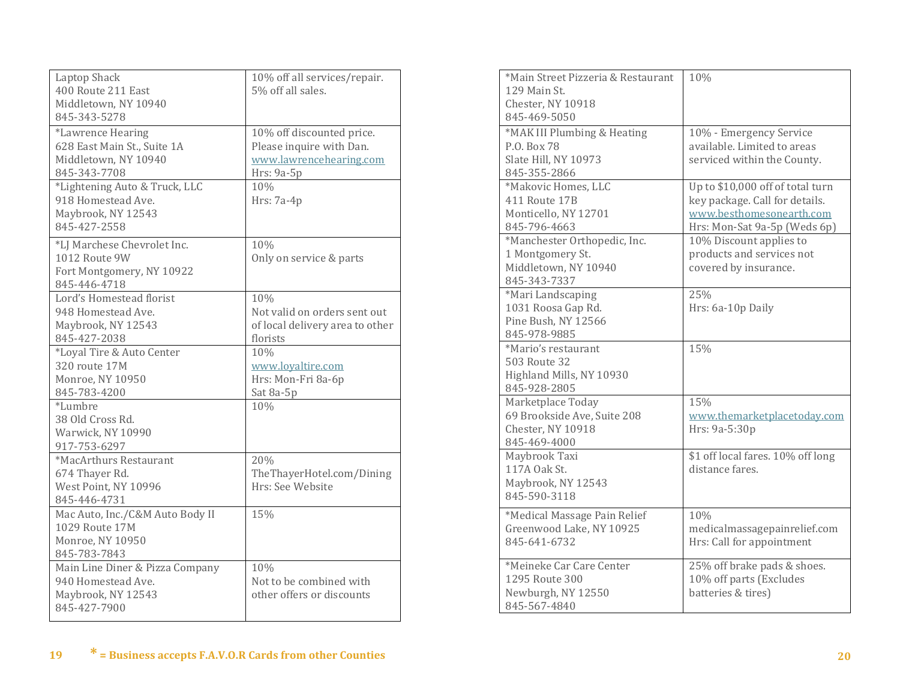| Laptop Shack<br>400 Route 211 East<br>Middletown, NY 10940<br>845-343-5278                                                                      | 10% off all services/repair.<br>5% off all sales.                                                                     |
|-------------------------------------------------------------------------------------------------------------------------------------------------|-----------------------------------------------------------------------------------------------------------------------|
| *Lawrence Hearing<br>628 East Main St., Suite 1A<br>Middletown, NY 10940<br>845-343-7708<br>*Lightening Auto & Truck, LLC<br>918 Homestead Ave. | 10% off discounted price.<br>Please inquire with Dan.<br>www.lawrencehearing.com<br>Hrs: 9a-5p<br>10%<br>Hrs: $7a-4p$ |
| Maybrook, NY 12543<br>845-427-2558<br>*LJ Marchese Chevrolet Inc.<br><b>1012 Route 9W</b><br>Fort Montgomery, NY 10922                          | 10%<br>Only on service & parts                                                                                        |
| 845-446-4718<br>Lord's Homestead florist<br>948 Homestead Ave.<br>Maybrook, NY 12543<br>845-427-2038                                            | 10%<br>Not valid on orders sent out<br>of local delivery area to other<br>florists                                    |
| *Loyal Tire & Auto Center<br>320 route 17M<br>Monroe, NY 10950<br>845-783-4200                                                                  | 10%<br>www.loyaltire.com<br>Hrs: Mon-Fri 8a-6p<br>Sat 8a-5p                                                           |
| *Lumbre<br>38 Old Cross Rd.<br>Warwick, NY 10990<br>917-753-6297                                                                                | 10%                                                                                                                   |
| *MacArthurs Restaurant<br>674 Thayer Rd.<br>West Point, NY 10996<br>845-446-4731                                                                | 20%<br>TheThayerHotel.com/Dining<br>Hrs: See Website                                                                  |
| Mac Auto, Inc./C&M Auto Body II<br>1029 Route 17M<br>Monroe, NY 10950<br>845-783-7843                                                           | 15%                                                                                                                   |
| Main Line Diner & Pizza Company<br>940 Homestead Ave.<br>Maybrook, NY 12543<br>845-427-7900                                                     | 10%<br>Not to be combined with<br>other offers or discounts                                                           |

| *Main Street Pizzeria & Restaurant | 10%                               |
|------------------------------------|-----------------------------------|
| 129 Main St.                       |                                   |
| Chester, NY 10918                  |                                   |
| 845-469-5050                       |                                   |
| *MAK III Plumbing & Heating        | 10% - Emergency Service           |
| P.O. Box 78                        | available. Limited to areas       |
| Slate Hill, NY 10973               | serviced within the County.       |
| 845-355-2866                       |                                   |
| *Makovic Homes, LLC                | Up to \$10,000 off of total turn  |
| 411 Route 17B                      | key package. Call for details.    |
| Monticello, NY 12701               | www.besthomesonearth.com          |
| 845-796-4663                       | Hrs: Mon-Sat 9a-5p (Weds 6p)      |
| *Manchester Orthopedic, Inc.       | 10% Discount applies to           |
| 1 Montgomery St.                   | products and services not         |
| Middletown, NY 10940               | covered by insurance.             |
| 845-343-7337                       |                                   |
| *Mari Landscaping                  | 25%                               |
| 1031 Roosa Gap Rd.                 | Hrs: 6a-10p Daily                 |
| Pine Bush, NY 12566                |                                   |
| 845-978-9885                       |                                   |
| *Mario's restaurant                | 15%                               |
| 503 Route 32                       |                                   |
| Highland Mills, NY 10930           |                                   |
| 845-928-2805                       |                                   |
| Marketplace Today                  | 15%                               |
| 69 Brookside Ave, Suite 208        | www.themarketplacetoday.com       |
| Chester, NY 10918                  | Hrs: 9a-5:30p                     |
| 845-469-4000                       |                                   |
| Maybrook Taxi                      | \$1 off local fares. 10% off long |
| 117A Oak St.                       | distance fares.                   |
| Maybrook, NY 12543                 |                                   |
| 845-590-3118                       |                                   |
| *Medical Massage Pain Relief       | 10%                               |
| Greenwood Lake, NY 10925           | medicalmassagepainrelief.com      |
| 845-641-6732                       | Hrs: Call for appointment         |
|                                    |                                   |
| *Meineke Car Care Center           | 25% off brake pads & shoes.       |
| 1295 Route 300                     | 10% off parts (Excludes           |
| Newburgh, NY 12550                 | batteries & tires)                |
| 845-567-4840                       |                                   |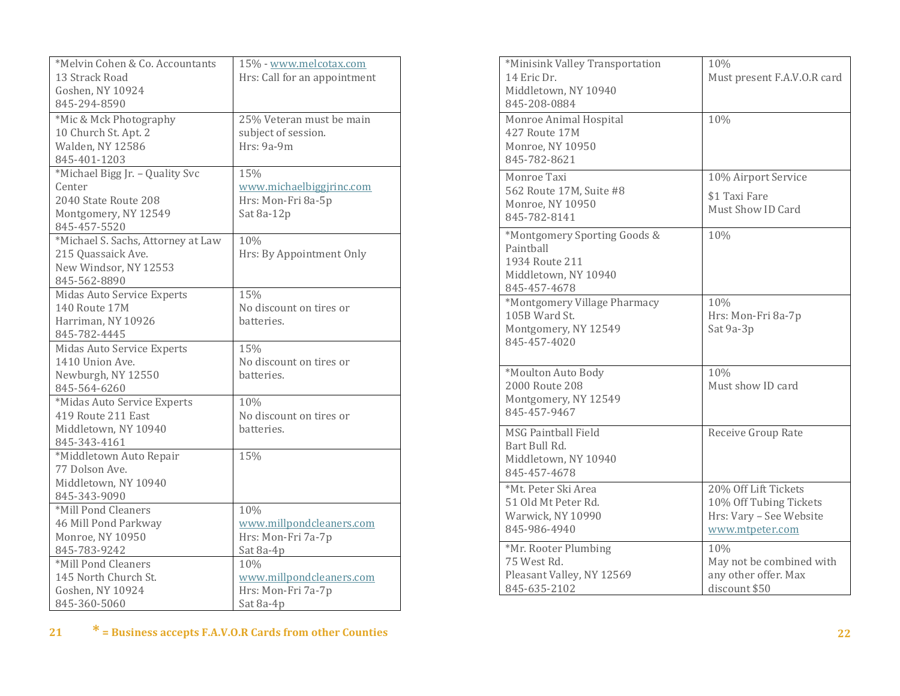| *Melvin Cohen & Co. Accountants    | 15% - www.melcotax.com       |
|------------------------------------|------------------------------|
| 13 Strack Road                     | Hrs: Call for an appointment |
| Goshen, NY 10924                   |                              |
| 845-294-8590                       |                              |
| *Mic & Mck Photography             | 25% Veteran must be main     |
| 10 Church St. Apt. 2               | subject of session.          |
| Walden, NY 12586                   | Hrs: 9a-9m                   |
| 845-401-1203                       |                              |
| *Michael Bigg Jr. - Quality Svc    | 15%                          |
| Center                             | www.michaelbiggjrinc.com     |
| 2040 State Route 208               | Hrs: Mon-Fri 8a-5p           |
| Montgomery, NY 12549               | Sat 8a-12p                   |
| 845-457-5520                       |                              |
| *Michael S. Sachs, Attorney at Law | 10%                          |
| 215 Quassaick Ave.                 | Hrs: By Appointment Only     |
| New Windsor, NY 12553              |                              |
| 845-562-8890                       |                              |
| Midas Auto Service Experts         | 15%                          |
| 140 Route 17M                      | No discount on tires or      |
| Harriman, NY 10926                 | batteries.                   |
| 845-782-4445                       |                              |
| Midas Auto Service Experts         | 15%                          |
| 1410 Union Ave.                    | No discount on tires or      |
| Newburgh, NY 12550                 | hatteries.                   |
| 845-564-6260                       |                              |
| *Midas Auto Service Experts        | 10%                          |
| 419 Route 211 East                 | No discount on tires or      |
| Middletown, NY 10940               | batteries.                   |
| 845-343-4161                       |                              |
| *Middletown Auto Repair            | 15%                          |
| 77 Dolson Ave.                     |                              |
| Middletown, NY 10940               |                              |
| 845-343-9090                       |                              |
| *Mill Pond Cleaners                | 10%                          |
| 46 Mill Pond Parkway               | www.millpondcleaners.com     |
| Monroe, NY 10950                   | Hrs: Mon-Fri 7a-7p           |
| 845-783-9242                       | Sat 8a-4p                    |
| *Mill Pond Cleaners                | 10%                          |
| 145 North Church St.               | www.millpondcleaners.com     |
| Goshen, NY 10924                   | Hrs: Mon-Fri 7a-7p           |
| 845-360-5060                       | Sat 8a-4p                    |

| *Minisink Valley Transportation<br>14 Eric Dr.<br>Middletown, NY 10940<br>845-208-0884              | 10%<br>Must present F.A.V.O.R card                                                           |
|-----------------------------------------------------------------------------------------------------|----------------------------------------------------------------------------------------------|
| Monroe Animal Hospital<br>427 Route 17M<br>Monroe, NY 10950<br>845-782-8621                         | 10%                                                                                          |
| Monroe Taxi<br>562 Route 17M, Suite #8<br>Monroe, NY 10950<br>845-782-8141                          | 10% Airport Service<br>\$1 Taxi Fare<br>Must Show ID Card                                    |
| *Montgomery Sporting Goods &<br>Painthall<br>1934 Route 211<br>Middletown, NY 10940<br>845-457-4678 | 10%                                                                                          |
| *Montgomery Village Pharmacy<br>105B Ward St.<br>Montgomery, NY 12549<br>845-457-4020               | 10%<br>Hrs: Mon-Fri 8a-7p<br>Sat 9a-3p                                                       |
| *Moulton Auto Body<br>2000 Route 208<br>Montgomery, NY 12549<br>845-457-9467                        | 10%<br>Must show ID card                                                                     |
| <b>MSG Paintball Field</b><br>Bart Bull Rd.<br>Middletown, NY 10940<br>845-457-4678                 | Receive Group Rate                                                                           |
| *Mt. Peter Ski Area<br>51 Old Mt Peter Rd.<br>Warwick, NY 10990<br>845-986-4940                     | 20% Off Lift Tickets<br>10% Off Tubing Tickets<br>Hrs: Vary - See Website<br>www.mtpeter.com |
| *Mr. Rooter Plumbing<br>75 West Rd.<br>Pleasant Valley, NY 12569<br>845-635-2102                    | 10%<br>May not be combined with<br>any other offer. Max<br>discount \$50                     |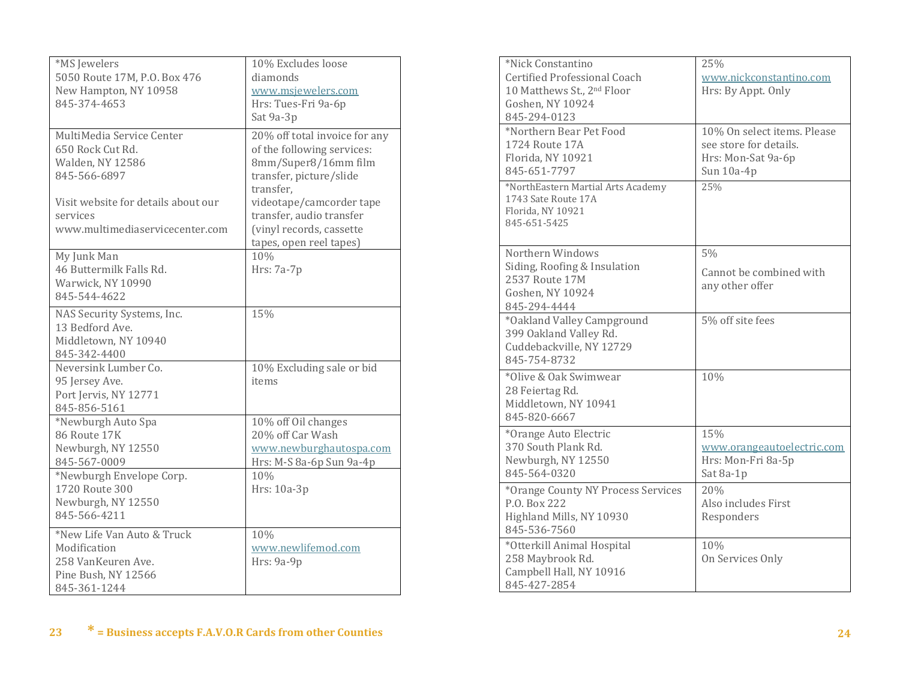| *MS Jewelers<br>5050 Route 17M, P.O. Box 476<br>New Hampton, NY 10958<br>845-374-4653                                                                                          | 10% Excludes loose<br>diamonds<br>www.msjewelers.com<br>Hrs: Tues-Fri 9a-6p<br>Sat 9a-3p                                                                                                                                                   |
|--------------------------------------------------------------------------------------------------------------------------------------------------------------------------------|--------------------------------------------------------------------------------------------------------------------------------------------------------------------------------------------------------------------------------------------|
| MultiMedia Service Center<br>650 Rock Cut Rd.<br><b>Walden, NY 12586</b><br>845-566-6897<br>Visit website for details about our<br>services<br>www.multimediaservicecenter.com | 20% off total invoice for any<br>of the following services:<br>8mm/Super8/16mm film<br>transfer, picture/slide<br>transfer.<br>videotape/camcorder tape<br>transfer, audio transfer<br>(vinyl records, cassette<br>tapes, open reel tapes) |
| My Junk Man<br>46 Buttermilk Falls Rd.<br>Warwick, NY 10990<br>845-544-4622                                                                                                    | 10%<br>Hrs: 7a-7p                                                                                                                                                                                                                          |
| NAS Security Systems, Inc.<br>13 Bedford Ave.<br>Middletown, NY 10940<br>845-342-4400<br>Neversink Lumber Co.                                                                  | 15%                                                                                                                                                                                                                                        |
| 95 Jersey Ave.<br>Port Jervis, NY 12771<br>845-856-5161                                                                                                                        | 10% Excluding sale or bid<br>items                                                                                                                                                                                                         |
| *Newburgh Auto Spa<br>86 Route 17K<br>Newburgh, NY 12550<br>845-567-0009<br>*Newburgh Envelope Corp.<br>1720 Route 300<br>Newburgh, NY 12550<br>845-566-4211                   | 10% off Oil changes<br>20% off Car Wash<br>www.newburghautospa.com<br>Hrs: M-S 8a-6p Sun 9a-4p<br>10%<br>Hrs: 10a-3p                                                                                                                       |
| *New Life Van Auto & Truck<br>Modification<br>258 VanKeuren Ave.<br>Pine Bush, NY 12566<br>845-361-1244                                                                        | 10%<br>www.newlifemod.com<br>Hrs: 9a-9p                                                                                                                                                                                                    |

| *Nick Constantino<br>Certified Professional Coach<br>10 Matthews St., 2nd Floor<br>Goshen, NY 10924<br>845-294-0123 | 25%<br>www.nickconstantino.com<br>Hrs: By Appt. Only                                      |
|---------------------------------------------------------------------------------------------------------------------|-------------------------------------------------------------------------------------------|
| *Northern Bear Pet Food<br>1724 Route 17A<br>Florida, NY 10921<br>845-651-7797                                      | 10% On select items. Please<br>see store for details.<br>Hrs: Mon-Sat 9a-6p<br>Sun 10a-4p |
| *NorthEastern Martial Arts Academy<br>1743 Sate Route 17A<br>Florida, NY 10921<br>845-651-5425                      | 25%                                                                                       |
| Northern Windows<br>Siding, Roofing & Insulation<br>2537 Route 17M<br>Goshen, NY 10924<br>845-294-4444              | 5%<br>Cannot be combined with<br>any other offer                                          |
| *Oakland Valley Campground<br>399 Oakland Valley Rd.<br>Cuddebackville, NY 12729<br>845-754-8732                    | 5% off site fees                                                                          |
| *Olive & Oak Swimwear<br>28 Feiertag Rd.<br>Middletown, NY 10941<br>845-820-6667                                    | 10%                                                                                       |
| *Orange Auto Electric<br>370 South Plank Rd.<br>Newburgh, NY 12550<br>845-564-0320                                  | 15%<br>www.orangeautoelectric.com<br>Hrs: Mon-Fri 8a-5p<br>Sat 8a-1p                      |
| *Orange County NY Process Services<br>P.O. Box 222<br>Highland Mills, NY 10930<br>845-536-7560                      | 20%<br>Also includes First<br>Responders                                                  |
| *Otterkill Animal Hospital<br>258 Maybrook Rd.<br>Campbell Hall, NY 10916<br>845-427-2854                           | 10%<br>On Services Only                                                                   |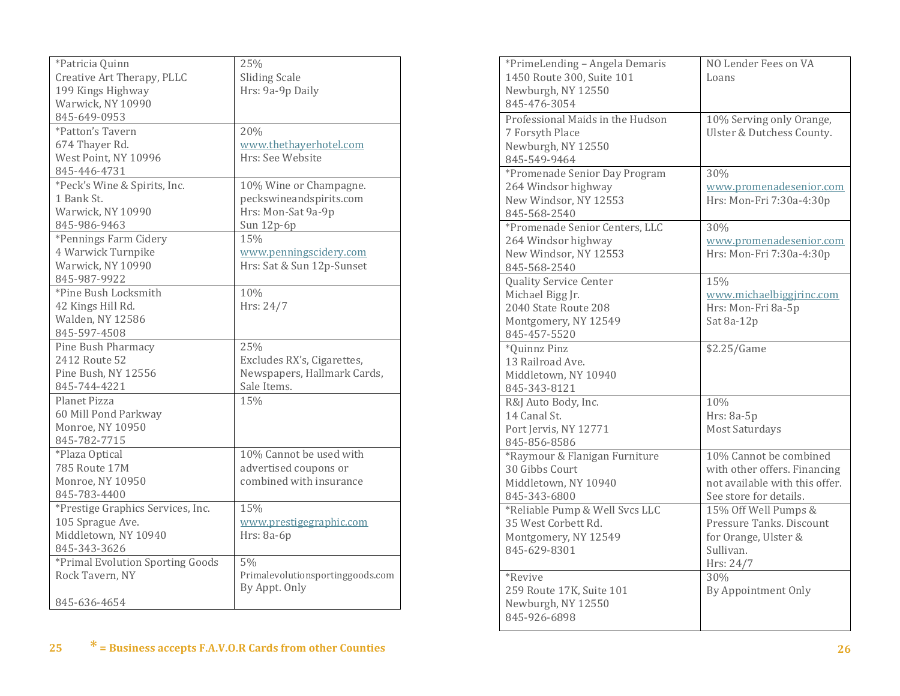| *Patricia Quinn                   | 25%                              |
|-----------------------------------|----------------------------------|
| Creative Art Therapy, PLLC        | <b>Sliding Scale</b>             |
| 199 Kings Highway                 | Hrs: 9a-9p Daily                 |
| Warwick, NY 10990                 |                                  |
| 845-649-0953                      |                                  |
| *Patton's Tavern                  | 20%                              |
| 674 Thayer Rd.                    | www.thethayerhotel.com           |
| West Point, NY 10996              | Hrs: See Website                 |
| 845-446-4731                      |                                  |
| *Peck's Wine & Spirits, Inc.      | 10% Wine or Champagne.           |
| 1 Bank St.                        | peckswineandspirits.com          |
| Warwick, NY 10990                 | Hrs: Mon-Sat 9a-9p               |
| 845-986-9463                      | Sun 12p-6p                       |
| *Pennings Farm Cidery             | 15%                              |
| 4 Warwick Turnpike                | www.penningscidery.com           |
| Warwick, NY 10990                 | Hrs: Sat & Sun 12p-Sunset        |
| 845-987-9922                      |                                  |
| *Pine Bush Locksmith              | 10%                              |
| 42 Kings Hill Rd.                 | Hrs: 24/7                        |
| Walden, NY 12586                  |                                  |
| 845-597-4508                      |                                  |
| Pine Bush Pharmacy                | 25%                              |
| 2412 Route 52                     | Excludes RX's, Cigarettes,       |
| Pine Bush, NY 12556               | Newspapers, Hallmark Cards,      |
| 845-744-4221                      | Sale Items.                      |
| Planet Pizza                      | 15%                              |
| 60 Mill Pond Parkway              |                                  |
| Monroe, NY 10950                  |                                  |
| 845-782-7715                      |                                  |
| *Plaza Optical                    | 10% Cannot be used with          |
| 785 Route 17M                     | advertised coupons or            |
| Monroe, NY 10950                  | combined with insurance          |
| 845-783-4400                      |                                  |
| *Prestige Graphics Services, Inc. | 15%                              |
| 105 Sprague Ave.                  | www.prestigegraphic.com          |
| Middletown, NY 10940              | Hrs: 8a-6p                       |
| 845-343-3626                      |                                  |
| *Primal Evolution Sporting Goods  | 5%                               |
| Rock Tavern, NY                   | Primalevolutionsportinggoods.com |
|                                   | By Appt. Only                    |
| 845-636-4654                      |                                  |

| *PrimeLending - Angela Demaris<br>1450 Route 300, Suite 101<br>Newburgh, NY 12550<br>845-476-3054                 | NO Lender Fees on VA<br>Loans                                                                                      |
|-------------------------------------------------------------------------------------------------------------------|--------------------------------------------------------------------------------------------------------------------|
| Professional Maids in the Hudson<br>7 Forsyth Place<br>Newburgh, NY 12550<br>845-549-9464                         | 10% Serving only Orange,<br>Ulster & Dutchess County.                                                              |
| *Promenade Senior Day Program<br>264 Windsor highway<br>New Windsor, NY 12553<br>845-568-2540                     | 30%<br>www.promenadesenior.com<br>Hrs: Mon-Fri 7:30a-4:30p                                                         |
| *Promenade Senior Centers, LLC<br>264 Windsor highway<br>New Windsor, NY 12553<br>845-568-2540                    | 30%<br>www.promenadesenior.com<br>Hrs: Mon-Fri 7:30a-4:30p                                                         |
| <b>Quality Service Center</b><br>Michael Bigg Jr.<br>2040 State Route 208<br>Montgomery, NY 12549<br>845-457-5520 | 15%<br>www.michaelbiggjrinc.com<br>Hrs: Mon-Fri 8a-5p<br>Sat 8a-12p                                                |
| *Quinnz Pinz<br>13 Railroad Ave.<br>Middletown, NY 10940<br>845-343-8121                                          | \$2.25/Game                                                                                                        |
| R&J Auto Body, Inc.<br>14 Canal St.<br>Port Jervis, NY 12771<br>845-856-8586                                      | 10%<br>Hrs: 8a-5p<br><b>Most Saturdays</b>                                                                         |
| *Raymour & Flanigan Furniture<br>30 Gibbs Court<br>Middletown, NY 10940<br>845-343-6800                           | 10% Cannot be combined<br>with other offers. Financing<br>not available with this offer.<br>See store for details. |
| *Reliable Pump & Well Svcs LLC<br>35 West Corbett Rd.<br>Montgomery, NY 12549<br>845-629-8301                     | 15% Off Well Pumps &<br>Pressure Tanks. Discount<br>for Orange, Ulster &<br>Sullivan.<br>Hrs: 24/7                 |
| <i>*Revive</i><br>259 Route 17K, Suite 101<br>Newburgh, NY 12550<br>845-926-6898                                  | 30%<br>By Appointment Only                                                                                         |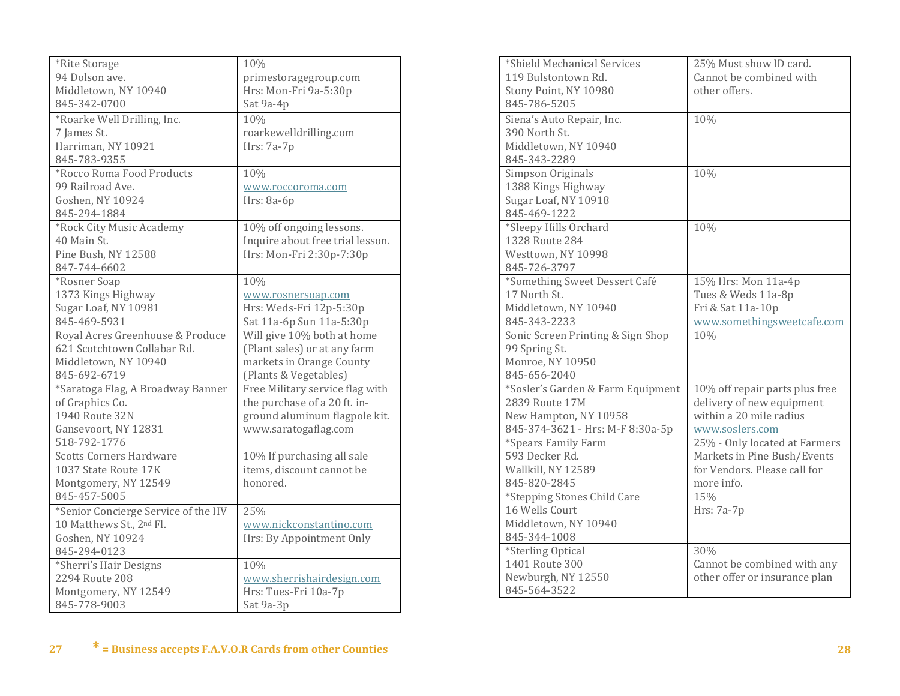| *Rite Storage                       | 10%                              |
|-------------------------------------|----------------------------------|
| 94 Dolson ave.                      | primestoragegroup.com            |
| Middletown, NY 10940                | Hrs: Mon-Fri 9a-5:30p            |
| 845-342-0700                        | Sat 9a-4p                        |
| *Roarke Well Drilling, Inc.         | 10%                              |
| 7 James St.                         | roarkewelldrilling.com           |
| Harriman, NY 10921                  | Hrs: 7a-7p                       |
| 845-783-9355                        |                                  |
| *Rocco Roma Food Products           | 10%                              |
| 99 Railroad Ave.                    | www.roccoroma.com                |
| Goshen, NY 10924                    | Hrs: 8a-6p                       |
| 845-294-1884                        |                                  |
| *Rock City Music Academy            | 10% off ongoing lessons.         |
| 40 Main St.                         | Inquire about free trial lesson. |
| Pine Bush, NY 12588                 | Hrs: Mon-Fri 2:30p-7:30p         |
| 847-744-6602                        |                                  |
| *Rosner Soap                        | 10%                              |
| 1373 Kings Highway                  | www.rosnersoap.com               |
| Sugar Loaf, NY 10981                | Hrs: Weds-Fri 12p-5:30p          |
| 845-469-5931                        | Sat 11a-6p Sun 11a-5:30p         |
| Royal Acres Greenhouse & Produce    | Will give 10% both at home       |
| 621 Scotchtown Collabar Rd.         | (Plant sales) or at any farm     |
| Middletown, NY 10940                | markets in Orange County         |
| 845-692-6719                        | (Plants & Vegetables)            |
| *Saratoga Flag, A Broadway Banner   | Free Military service flag with  |
| of Graphics Co.                     | the purchase of a 20 ft. in-     |
| 1940 Route 32N                      | ground aluminum flagpole kit.    |
| Gansevoort, NY 12831                | www.saratogaflag.com             |
| 518-792-1776                        |                                  |
| <b>Scotts Corners Hardware</b>      | 10% If purchasing all sale       |
| 1037 State Route 17K                | items, discount cannot be        |
| Montgomery, NY 12549                | honored.                         |
| 845-457-5005                        |                                  |
| *Senior Concierge Service of the HV | 25%                              |
| 10 Matthews St., 2nd Fl.            | www.nickconstantino.com          |
| Goshen, NY 10924                    | Hrs: By Appointment Only         |
| 845-294-0123                        |                                  |
| *Sherri's Hair Designs              | 10%                              |
| 2294 Route 208                      | www.sherrishairdesign.com        |
| Montgomery, NY 12549                | Hrs: Tues-Fri 10a-7p             |
| 845-778-9003                        | Sat 9a-3p                        |

| *Shield Mechanical Services<br>119 Bulstontown Rd.<br>Stony Point, NY 10980<br>845-786-5205                      | 25% Must show ID card.<br>Cannot be combined with<br>other offers.                                         |
|------------------------------------------------------------------------------------------------------------------|------------------------------------------------------------------------------------------------------------|
| Siena's Auto Repair, Inc.<br>390 North St.<br>Middletown, NY 10940<br>845-343-2289                               | 10%                                                                                                        |
| Simpson Originals<br>1388 Kings Highway<br>Sugar Loaf, NY 10918<br>845-469-1222                                  | 10%                                                                                                        |
| *Sleepy Hills Orchard<br>1328 Route 284<br>Westtown, NY 10998<br>845-726-3797                                    | 10%                                                                                                        |
| *Something Sweet Dessert Café<br>17 North St.<br>Middletown, NY 10940<br>845-343-2233                            | 15% Hrs: Mon 11a-4p<br>Tues & Weds 11a-8p<br>Fri & Sat 11a-10p<br>www.somethingsweetcafe.com               |
| Sonic Screen Printing & Sign Shop<br>99 Spring St.<br>Monroe, NY 10950<br>845-656-2040                           | 10%                                                                                                        |
| *Sosler's Garden & Farm Equipment<br>2839 Route 17M<br>New Hampton, NY 10958<br>845-374-3621 - Hrs: M-F 8:30a-5p | 10% off repair parts plus free<br>delivery of new equipment<br>within a 20 mile radius<br>www.soslers.com  |
| *Spears Family Farm<br>593 Decker Rd.<br>Wallkill, NY 12589<br>845-820-2845                                      | 25% - Only located at Farmers<br>Markets in Pine Bush/Events<br>for Vendors. Please call for<br>more info. |
| *Stepping Stones Child Care<br>16 Wells Court<br>Middletown, NY 10940<br>845-344-1008                            | 15%<br>Hrs: 7a-7p                                                                                          |
| <i>*Sterling Optical</i><br>1401 Route 300<br>Newburgh, NY 12550<br>845-564-3522                                 | 30%<br>Cannot be combined with any<br>other offer or insurance plan                                        |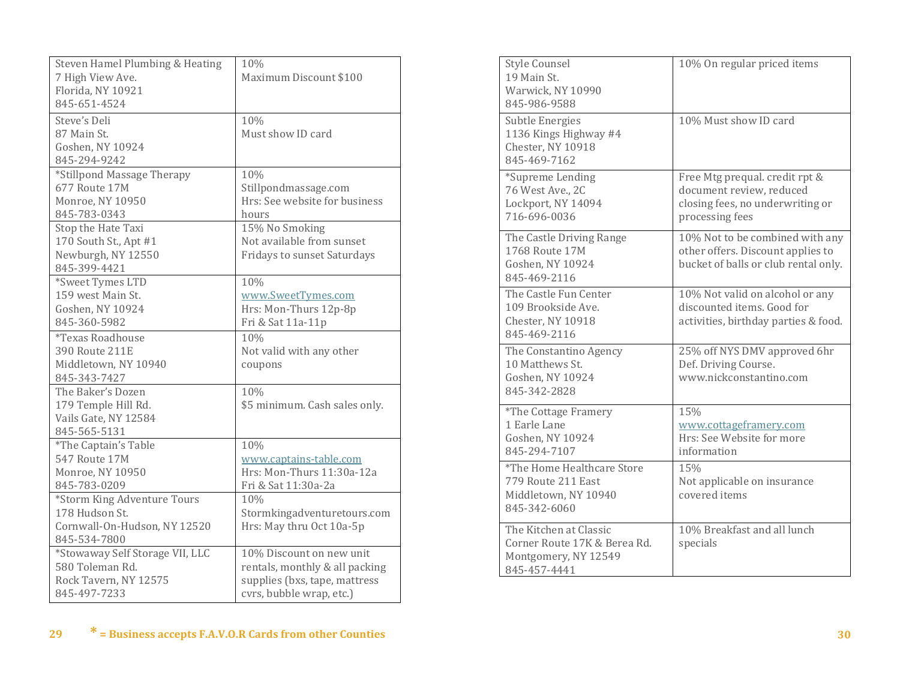| Steven Hamel Plumbing & Heating | 10%                                |
|---------------------------------|------------------------------------|
| 7 High View Ave.                | Maximum Discount \$100             |
| Florida, NY 10921               |                                    |
| 845-651-4524                    |                                    |
| Steve's Deli                    | 10%                                |
| 87 Main St.                     | Must show ID card                  |
| Goshen, NY 10924                |                                    |
| 845-294-9242                    |                                    |
| *Stillpond Massage Therapy      | 10%                                |
| 677 Route 17M                   | Stillpondmassage.com               |
| Monroe, NY 10950                | Hrs: See website for business      |
| 845-783-0343                    | hours                              |
| Stop the Hate Taxi              | 15% No Smoking                     |
| 170 South St., Apt #1           | Not available from sunset          |
| Newburgh, NY 12550              | <b>Fridays to sunset Saturdays</b> |
| 845-399-4421                    |                                    |
| *Sweet Tymes LTD                | 10%                                |
| 159 west Main St.               | www.SweetTymes.com                 |
| Goshen, NY 10924                | Hrs: Mon-Thurs 12p-8p              |
| 845-360-5982                    | Fri & Sat 11a-11p                  |
| <i>*Texas Roadhouse</i>         | 10%                                |
| 390 Route 211E                  | Not valid with any other           |
| Middletown, NY 10940            | coupons                            |
| 845-343-7427                    |                                    |
| The Baker's Dozen               | 10%                                |
| 179 Temple Hill Rd.             | \$5 minimum. Cash sales only.      |
| Vails Gate, NY 12584            |                                    |
| 845-565-5131                    |                                    |
| *The Captain's Table            | 10%                                |
| 547 Route 17M                   | www.captains-table.com             |
| Monroe, NY 10950                | Hrs: Mon-Thurs 11:30a-12a          |
| 845-783-0209                    | Fri & Sat 11:30a-2a                |
| *Storm King Adventure Tours     | 10%                                |
| 178 Hudson St.                  | Stormkingadventuretours.com        |
| Cornwall-On-Hudson, NY 12520    | Hrs: May thru Oct 10a-5p           |
| 845-534-7800                    |                                    |
| *Stowaway Self Storage VII, LLC | 10% Discount on new unit           |
| 580 Toleman Rd.                 | rentals, monthly & all packing     |
| Rock Tavern, NY 12575           | supplies (bxs, tape, mattress      |
| 845-497-7233                    | cvrs, bubble wrap, etc.)           |

| <b>Style Counsel</b><br>19 Main St.<br>Warwick, NY 10990<br>845-986-9588                       | 10% On regular priced items                                                                                       |
|------------------------------------------------------------------------------------------------|-------------------------------------------------------------------------------------------------------------------|
| Subtle Energies<br>1136 Kings Highway #4<br>Chester, NY 10918<br>845-469-7162                  | 10% Must show ID card                                                                                             |
| *Supreme Lending<br>76 West Ave., 2C<br>Lockport, NY 14094<br>716-696-0036                     | Free Mtg prequal. credit rpt &<br>document review, reduced<br>closing fees, no underwriting or<br>processing fees |
| The Castle Driving Range<br>1768 Route 17M<br>Goshen, NY 10924<br>845-469-2116                 | 10% Not to be combined with any<br>other offers. Discount applies to<br>bucket of balls or club rental only.      |
| The Castle Fun Center<br>109 Brookside Ave.<br>Chester, NY 10918<br>845-469-2116               | 10% Not valid on alcohol or any<br>discounted items. Good for<br>activities, birthday parties & food.             |
| The Constantino Agency<br>10 Matthews St.<br>Goshen, NY 10924<br>845-342-2828                  | 25% off NYS DMV approved 6hr<br>Def. Driving Course.<br>www.nickconstantino.com                                   |
| *The Cottage Framery<br>1 Earle Lane<br>Goshen, NY 10924<br>845-294-7107                       | 15%<br>www.cottageframery.com<br>Hrs: See Website for more<br>information                                         |
| *The Home Healthcare Store<br>779 Route 211 East<br>Middletown, NY 10940<br>845-342-6060       | 15%<br>Not applicable on insurance<br>covered items                                                               |
| The Kitchen at Classic<br>Corner Route 17K & Berea Rd.<br>Montgomery, NY 12549<br>845-457-4441 | 10% Breakfast and all lunch<br>specials                                                                           |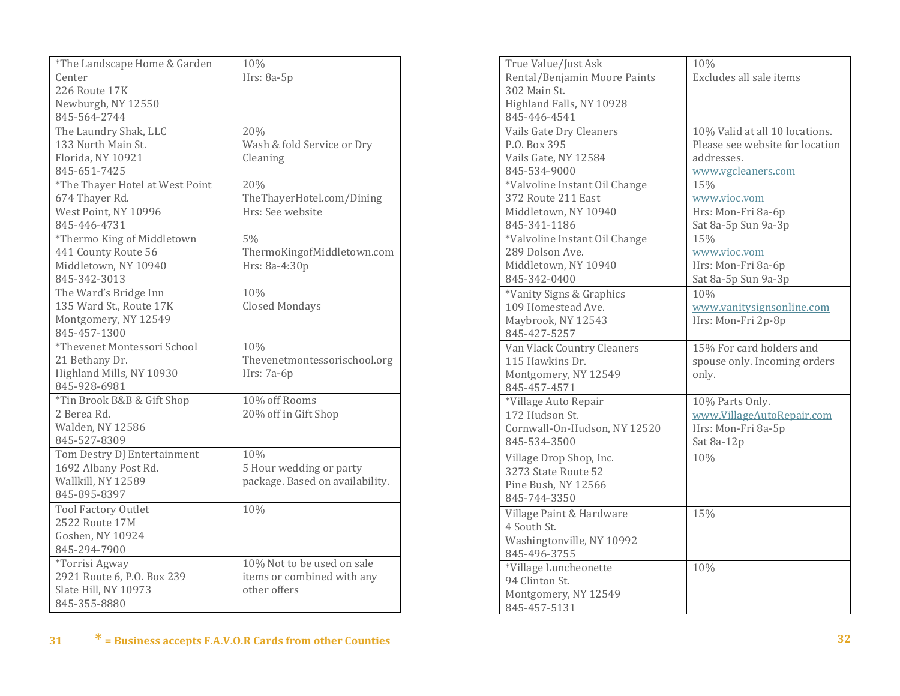| *The Landscape Home & Garden    | 10%                             |
|---------------------------------|---------------------------------|
| Center                          | Hrs: 8a-5p                      |
| 226 Route 17K                   |                                 |
| Newburgh, NY 12550              |                                 |
| 845-564-2744                    |                                 |
| The Laundry Shak, LLC           | 20%                             |
| 133 North Main St.              | Wash & fold Service or Dry      |
| Florida, NY 10921               | Cleaning                        |
| 845-651-7425                    |                                 |
| *The Thayer Hotel at West Point | 20%                             |
| 674 Thayer Rd.                  | TheThayerHotel.com/Dining       |
| West Point, NY 10996            | Hrs: See website                |
| 845-446-4731                    |                                 |
| *Thermo King of Middletown      | 5%                              |
| 441 County Route 56             | ThermoKingofMiddletown.com      |
| Middletown, NY 10940            | Hrs: 8a-4:30p                   |
| 845-342-3013                    |                                 |
| The Ward's Bridge Inn           | 10%                             |
| 135 Ward St., Route 17K         | <b>Closed Mondays</b>           |
| Montgomery, NY 12549            |                                 |
| 845-457-1300                    |                                 |
| *Thevenet Montessori School     | 10%                             |
| 21 Bethany Dr.                  | Thevenetmontessorischool.org    |
| Highland Mills, NY 10930        | Hrs: 7a-6p                      |
| 845-928-6981                    |                                 |
| *Tin Brook B&B & Gift Shop      | 10% off Rooms                   |
| 2 Berea Rd.                     | 20% off in Gift Shop            |
| Walden, NY 12586                |                                 |
| 845-527-8309                    |                                 |
| Tom Destry DJ Entertainment     | 10%                             |
| 1692 Albany Post Rd.            | 5 Hour wedding or party         |
| Wallkill, NY 12589              | package. Based on availability. |
| 845-895-8397                    |                                 |
| <b>Tool Factory Outlet</b>      | 10%                             |
| 2522 Route 17M                  |                                 |
| Goshen, NY 10924                |                                 |
| 845-294-7900                    |                                 |
| *Torrisi Agway                  | 10% Not to be used on sale      |
| 2921 Route 6, P.O. Box 239      | items or combined with any      |
| Slate Hill, NY 10973            | other offers                    |
| 845-355-8880                    |                                 |

| True Value/Just Ask           | 10%                             |
|-------------------------------|---------------------------------|
| Rental/Benjamin Moore Paints  | Excludes all sale items         |
| 302 Main St.                  |                                 |
| Highland Falls, NY 10928      |                                 |
| 845-446-4541                  |                                 |
| Vails Gate Dry Cleaners       | 10% Valid at all 10 locations.  |
| P.O. Box 395                  | Please see website for location |
| Vails Gate, NY 12584          | addresses.                      |
| 845-534-9000                  | www.vgcleaners.com              |
| *Valvoline Instant Oil Change | 15%                             |
| 372 Route 211 East            | www.vioc.vom                    |
| Middletown, NY 10940          | Hrs: Mon-Fri 8a-6p              |
| 845-341-1186                  | Sat 8a-5p Sun 9a-3p             |
| *Valvoline Instant Oil Change | 15%                             |
| 289 Dolson Ave.               | www.vioc.vom                    |
| Middletown, NY 10940          | Hrs: Mon-Fri 8a-6p              |
| 845-342-0400                  | Sat 8a-5p Sun 9a-3p             |
| *Vanity Signs & Graphics      | 10%                             |
| 109 Homestead Ave.            | www.vanitysignsonline.com       |
| Maybrook, NY 12543            | Hrs: Mon-Fri 2p-8p              |
| 845-427-5257                  |                                 |
| Van Vlack Country Cleaners    | 15% For card holders and        |
| 115 Hawkins Dr.               | spouse only. Incoming orders    |
| Montgomery, NY 12549          | only.                           |
| 845-457-4571                  |                                 |
| *Village Auto Repair          | 10% Parts Only.                 |
| 172 Hudson St.                | www.VillageAutoRepair.com       |
| Cornwall-On-Hudson, NY 12520  | Hrs: Mon-Fri 8a-5p              |
| 845-534-3500                  | Sat 8a-12p                      |
| Village Drop Shop, Inc.       | 10%                             |
| 3273 State Route 52           |                                 |
| Pine Bush, NY 12566           |                                 |
| 845-744-3350                  |                                 |
| Village Paint & Hardware      | 15%                             |
| 4 South St.                   |                                 |
| Washingtonville, NY 10992     |                                 |
| 845-496-3755                  |                                 |
| *Village Luncheonette         | 10%                             |
| 94 Clinton St.                |                                 |
| Montgomery, NY 12549          |                                 |
| 845-457-5131                  |                                 |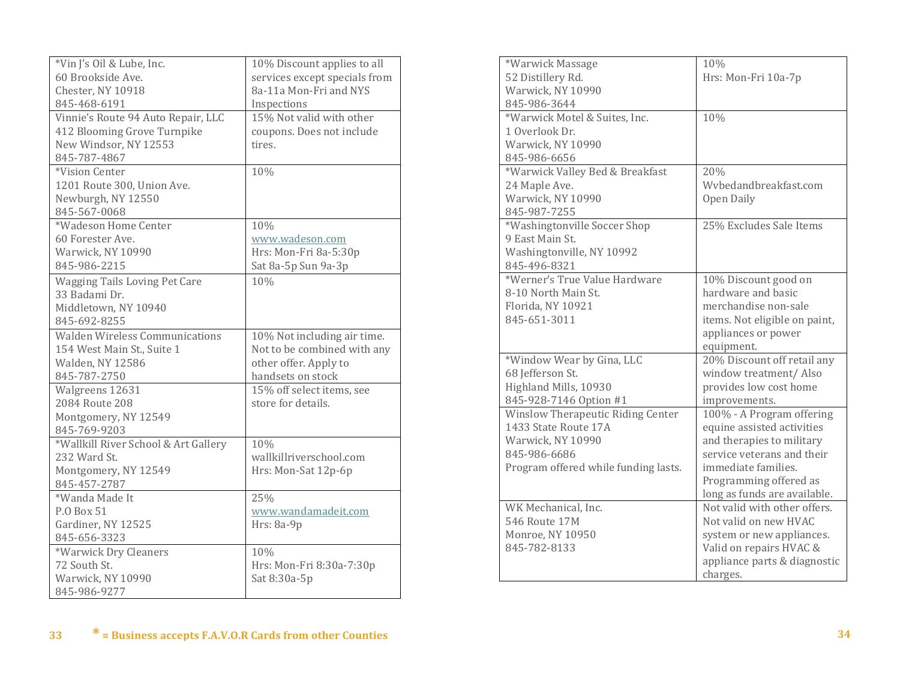| *Vin J's Oil & Lube, Inc.             | 10% Discount applies to all   |
|---------------------------------------|-------------------------------|
| 60 Brookside Ave.                     | services except specials from |
| Chester, NY 10918                     | 8a-11a Mon-Fri and NYS        |
| 845-468-6191                          | Inspections                   |
| Vinnie's Route 94 Auto Repair, LLC    | 15% Not valid with other      |
| 412 Blooming Grove Turnpike           | coupons. Does not include     |
| New Windsor, NY 12553                 | tires.                        |
| 845-787-4867                          |                               |
| *Vision Center                        | 10%                           |
| 1201 Route 300, Union Ave.            |                               |
| Newburgh, NY 12550                    |                               |
| 845-567-0068                          |                               |
| *Wadeson Home Center                  | 10%                           |
| 60 Forester Ave.                      | www.wadeson.com               |
| Warwick, NY 10990                     | Hrs: Mon-Fri 8a-5:30p         |
| 845-986-2215                          | Sat 8a-5p Sun 9a-3p           |
| <b>Wagging Tails Loving Pet Care</b>  | 10%                           |
| 33 Badami Dr.                         |                               |
| Middletown, NY 10940                  |                               |
| 845-692-8255                          |                               |
| <b>Walden Wireless Communications</b> | 10% Not including air time.   |
| 154 West Main St., Suite 1            | Not to be combined with any   |
| Walden, NY 12586                      | other offer. Apply to         |
| 845-787-2750                          | handsets on stock             |
| Walgreens 12631                       | 15% off select items, see     |
| 2084 Route 208                        | store for details.            |
| Montgomery, NY 12549                  |                               |
| 845-769-9203                          |                               |
| *Wallkill River School & Art Gallery  | 10%                           |
| 232 Ward St.                          | wallkillriverschool.com       |
| Montgomery, NY 12549                  | Hrs: Mon-Sat 12p-6p           |
| 845-457-2787                          |                               |
| *Wanda Made It                        | 25%                           |
|                                       |                               |
| P.O Box 51                            | www.wandamadeit.com           |
| Gardiner, NY 12525                    | Hrs: 8a-9p                    |
| 845-656-3323                          |                               |
| *Warwick Dry Cleaners                 | 10%                           |
| 72 South St.                          | Hrs: Mon-Fri 8:30a-7:30p      |
| Warwick, NY 10990                     | Sat 8:30a-5p                  |
| 845-986-9277                          |                               |

| *Warwick Massage                     | 10%                           |
|--------------------------------------|-------------------------------|
| 52 Distillery Rd.                    | Hrs: Mon-Fri 10a-7p           |
| Warwick, NY 10990                    |                               |
| 845-986-3644                         |                               |
| *Warwick Motel & Suites, Inc.        | 10%                           |
| 1 Overlook Dr.                       |                               |
| Warwick, NY 10990                    |                               |
| 845-986-6656                         |                               |
| *Warwick Valley Bed & Breakfast      | 20%                           |
| 24 Maple Ave.                        | Wybedandbreakfast.com         |
| Warwick, NY 10990                    | Open Daily                    |
| 845-987-7255                         |                               |
| *Washingtonville Soccer Shop         | 25% Excludes Sale Items       |
| 9 East Main St.                      |                               |
| Washingtonville, NY 10992            |                               |
| 845-496-8321                         |                               |
| *Werner's True Value Hardware        | 10% Discount good on          |
| 8-10 North Main St.                  | hardware and basic            |
| Florida, NY 10921                    | merchandise non-sale          |
| 845-651-3011                         | items. Not eligible on paint, |
|                                      | appliances or power           |
|                                      | equipment.                    |
| *Window Wear by Gina, LLC            | 20% Discount off retail any   |
| 68 Jefferson St.                     | window treatment/ Also        |
| Highland Mills, 10930                | provides low cost home        |
| 845-928-7146 Option #1               | improvements.                 |
| Winslow Therapeutic Riding Center    | 100% - A Program offering     |
| 1433 State Route 17A                 | equine assisted activities    |
| Warwick, NY 10990                    | and therapies to military     |
| 845-986-6686                         | service veterans and their    |
| Program offered while funding lasts. | immediate families.           |
|                                      | Programming offered as        |
|                                      | long as funds are available.  |
| WK Mechanical, Inc.                  | Not valid with other offers.  |
| 546 Route 17M                        | Not valid on new HVAC         |
| Monroe, NY 10950                     | system or new appliances.     |
| 845-782-8133                         | Valid on repairs HVAC &       |
|                                      | appliance parts & diagnostic  |
|                                      | charges.                      |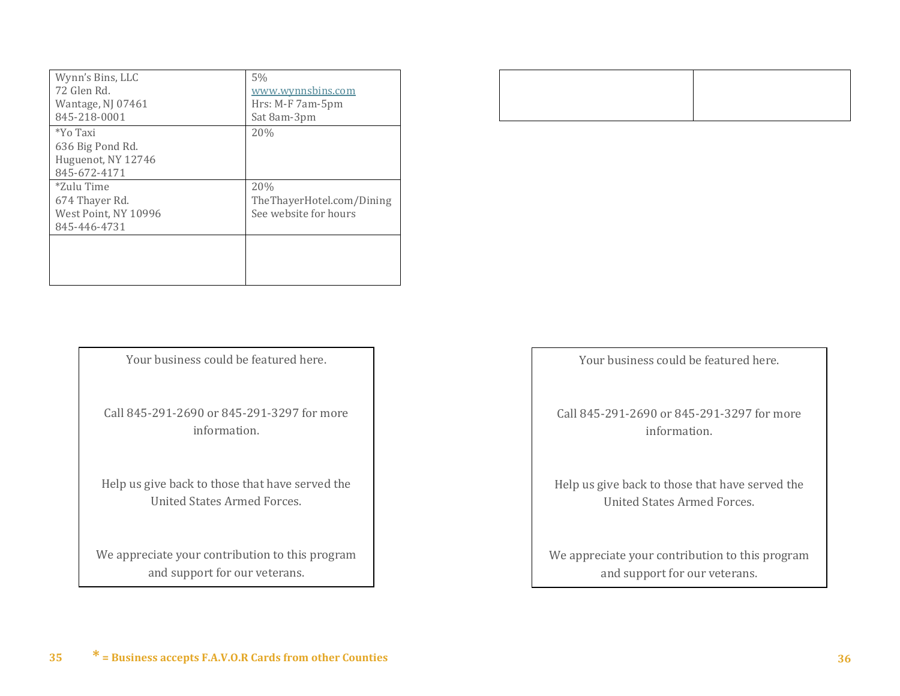| Wynn's Bins, LLC     | 5%                        |
|----------------------|---------------------------|
| 72 Glen Rd.          | www.wynnsbins.com         |
| Wantage, NJ 07461    | Hrs: M-F 7am-5pm          |
| 845-218-0001         | Sat 8am-3pm               |
| *Yo Taxi             | 20%                       |
| 636 Big Pond Rd.     |                           |
| Huguenot, NY 12746   |                           |
| 845-672-4171         |                           |
| *Zulu Time           | 20%                       |
| 674 Thayer Rd.       | TheThayerHotel.com/Dining |
| West Point, NY 10996 | See website for hours     |
| 845-446-4731         |                           |
|                      |                           |
|                      |                           |
|                      |                           |
|                      |                           |

Your business could be featured here.

Call 845-291-2690 or 845-291-3297 for more information.

Help us give back to those that have served the United States Armed Forces.

We appreciate your contribution to this program and support for our veterans.

Your business could be featured here.

Call 845-291-2690 or 845-291-3297 for more information.

Help us give back to those that have served the United States Armed Forces.

We appreciate your contribution to this program and support for our veterans.